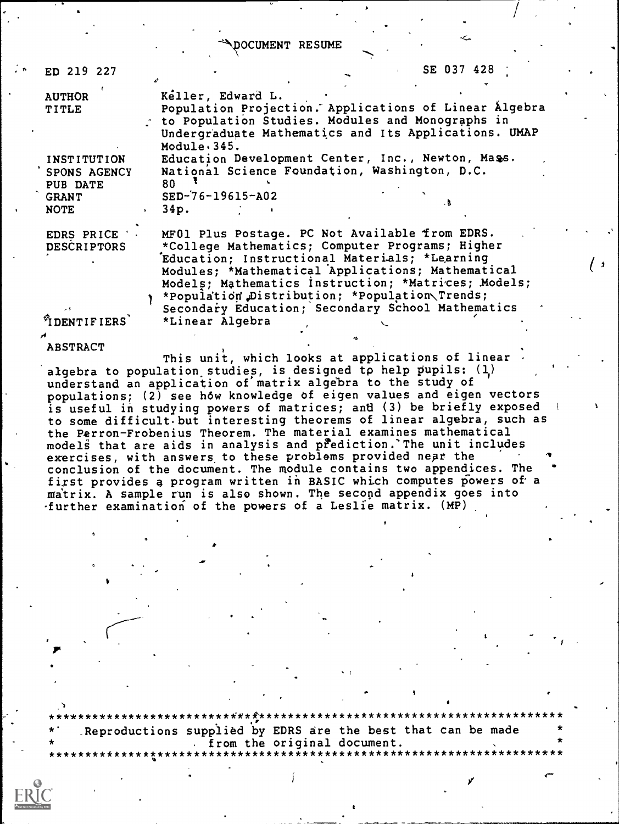OCUMENT RESUME

| ED 219 227                                                                    | SE 037 428                                                                                                                                                                                                                                                                                                      |
|-------------------------------------------------------------------------------|-----------------------------------------------------------------------------------------------------------------------------------------------------------------------------------------------------------------------------------------------------------------------------------------------------------------|
| <b>AUTHOR</b><br><b>TITLE</b>                                                 | Keller, Edward L.<br>Population Projection. Applications of Linear Algebra<br>to Population Studies. Modules and Monographs in<br>Undergraduate Mathematics and Its Applications. UMAP<br>Module.345.                                                                                                           |
| INSTITUTION<br><b>SPONS AGENCY</b><br>PUB DATE<br><b>GRANT</b><br><b>NOTE</b> | Education Development Center, Inc., Newton, Mass.<br>National Science Foundation, Washington, D.C.<br>80<br>$SED-76-19615-AO2$<br>. B<br>34p.                                                                                                                                                                   |
| EDRS PRICE '<br><b>DESCRIPTORS</b>                                            | MF01 Plus Postage. PC Not Available from EDRS.<br>*College Mathematics; Computer Programs; Higher<br>Education; Instructional Materials; *Learning<br>Modules: *Mathematical Applications; Mathematical<br>Models; Mathematics Instruction; *Matrices; Models;<br>*Population Distribution: *Population Trends: |

 $^{\%}$  DENTIFIERS

**ABSTRACT** 

This unit, which looks at applications of linear algebra to population studies, is designed to help pupils:  $(1)$ understand an application of matrix algebra to the study of populations; (2) see how knowledge of eigen values and eigen vectors is useful in studying powers of matrices; and (3) be briefly exposed to some difficult but interesting theorems of linear algebra, such as the Perron-Frobenius Theorem. The material examines mathematical models that are aids in analysis and prediction. The unit includes exercises, with answers to these problems provided near the conclusion of the document. The module contains two appendices. The first provides a program written in BASIC which computes powers of a matrix. A sample run is also shown. The second appendix goes into further examination of the powers of a Leslie matrix. (MP)

\*Linear Algebra

Secondary Education; Secondary School Mathematics

Reproductions supplied by EDRS are the best that can be made from the original document.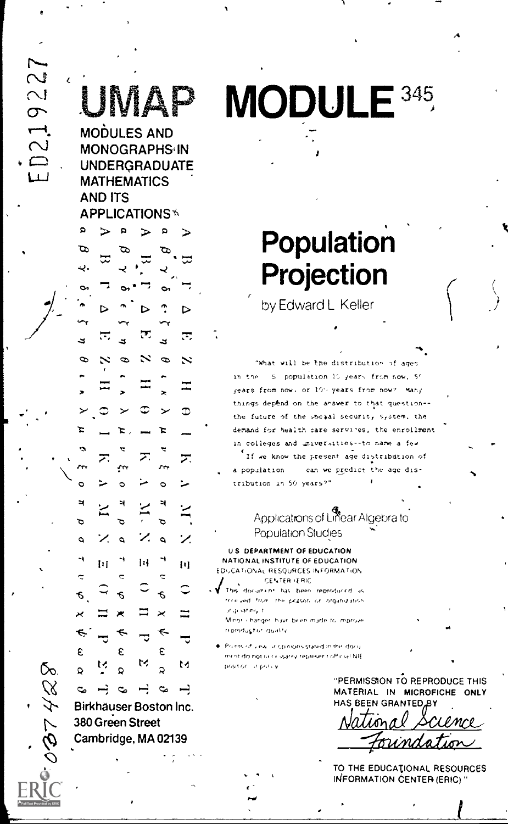$\sim$  $\overline{\sim}$  $\sigma$  $\overline{\phantom{a}}$  $\overline{\mathcal{C}}$ 

ΔD

**MODULES AND MONOGRAPHS IN UNDERGRADUATE MATHEMATICS AND ITS APPLICATIONS\*** 

# Þ F. D デ Ó  $14$ ħ € € ε ε ゼ M ¢ c.  $\rightarrow$  $\infty$  $\overline{a}$  $\infty$  $\overline{\phantom{0}}$

Birkhäuser Boston Inc. 380 Green Street Cambridge, MA 02139

ద్

**MODULE 345** 

# Population Projection

by Edward L Keller

"What will be the distribution of ages in the 5 population 15 years from now, 50 years from now, or 100 years from now? Many things depend on the answer to that question -the future of the socaal security system, the demand for health care services, the enrollment in colleges and universities -- to name a few

If we know the present age distribution of a population can we predict the age distribution in 50 years?"

# Applications of Lifear Algebra to **Population Studies**

**U.S. DEPARTMENT OF EDUCATION** NATIONAL INSTITUTE OF EDUCATION EDUCATIONAL RESQURCES INFORMATION CENTER (ERIC

This document has been reproduced as received from the prason or organization ir quating it Minor changer have been made to mprove

reproduct or duality . Points of view ilricpinions stated in thir docu ment do not race ssarily represent official NIE

position, in policy

"PERMISSION TO REPRODUCE THIS MATERIAL IN MICROFICHE ONLY HAS BEEN GRANTED

TO THE EDUCATIONAL RESOURCES INFORMATION CENTER (ERIC)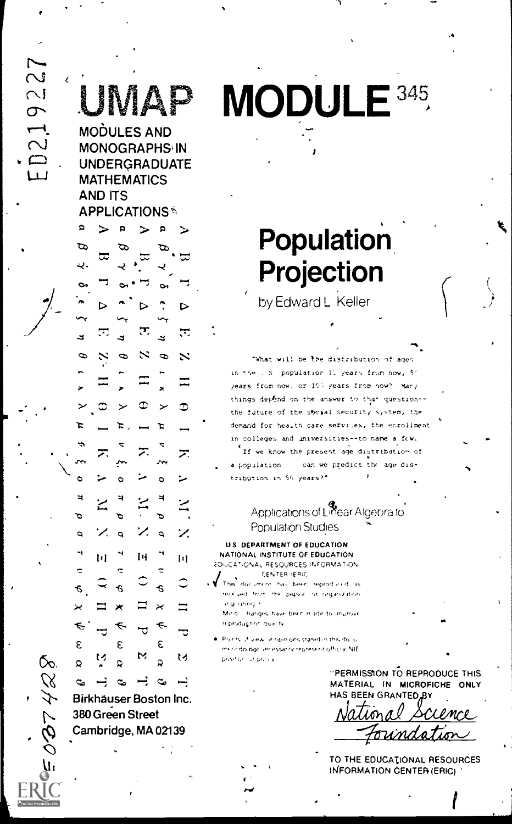ż

**AP** 

**MODULES AND MONOGRAPHS IN UNDERGRADUATE MATHEMATICS AND ITS APPLICATIONS®** 

# R Þ Ξ Ġ, Œ ⋝ Ħ  $\left\lfloor \frac{1}{2} \right\rfloor$ h ε £ ε M м  $\mathbf{Q}$

Birkhäuser Boston Inc. 380 Green Street Cambridge, MA 02139

 $\rightarrow$  $\infty$ 

 $\mathbf{c}_i$ 

Õo.

c,

# MODULE<sup>345</sup>

# **Population** Projection

by Edward L Keller

"What will be the distribution of ages in the U.S. population 19 years from now, 51 years from now, or 10% years from now?  $\text{Var}$ things depend on the answer to that question-the future of the social security system, the demand for hearth care services, the enrollment in colleges and universities--to name a few.

If we know the present age distribution of can we predict the age disa population tribution in 50 years?"

# Applications of Linear Algebra to Population Studies

U.S. DEPARTMENT OF EDUCATION NATIONAL INSTITUTE OF EDUCATION EDUCATIONAL RESOURCES INFORMATION CENTER (ERIC)

This document has been reproduced as eer yed. from the person or organization zt quarting in

Mirio - hanges have been made to improve reproduction quality

Points, if yiew or ripin onsistated in this do. u ment da not servissarily represent official NIE position or policy

> "PERMISSION TO REPRODUCE THIS MATERIAL IN MICROFICHE ONLY HAS BEEN GRANTED BY

CL PMCP

TO THE EDUCATIONAL RESOURCES INFORMATION CENTER (ERIC)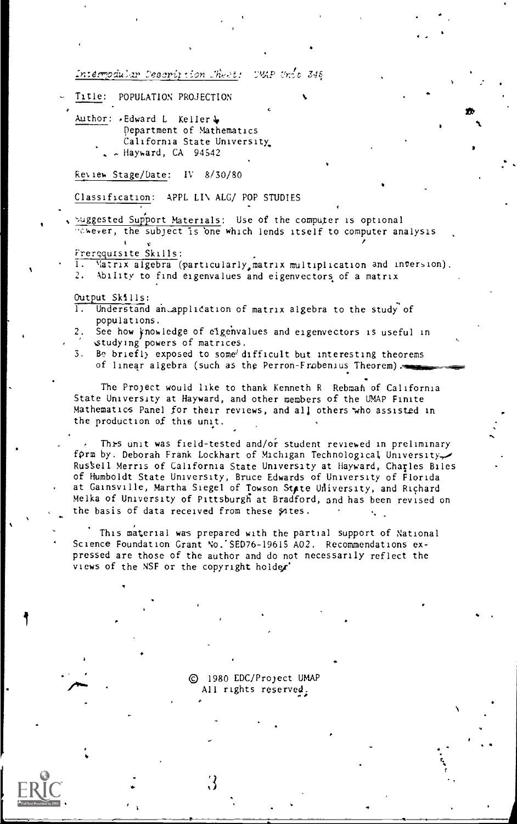Intermodular Description Sheet: UMAP Unit 346

- Title: POPULATION PROJECTION
	- Author: «Edward L Keller & Department of Mathematics California State University - Hayward, CA 94542

Review Stage/Date: IV 8/30/80

Classification: APPL LIN ALG/ POP STUDIES

Suggested Support Materials: Use of the computer is optional thever, the subject is one which lends itself to computer analysis

Frerequisite Skills:

ĩ. Matrix algebra (particularly, matrix multiplication and inversion).  $2.$ Ability to find eigenvalues and eigenvectors of a matrix

Output Skills:

- T. Understand an application of matrix algebra to the study of populations.
- See how knowledge of eigenvalues and eigenvectors is useful in  $2.$ studying powers of matrices.
- 3. Be briefly exposed to some difficult but interesting theorems of linear algebra (such as the Perron-Frobenius Theorem)

The Project would like to thank Kenneth R Rebman of California State University at Hayward, and other members of the UMAP Finite Mathematics Panel for their reviews, and all others who assisted in the production of this unit.

This unit was field-tested and/or student reviewed in preliminary form by. Deborah Frank Lockhart of Michigan Technological University Russell Merris of California State University at Hayward, Charles Biles of Humboldt State University, Bruce Edwards of University of Florida at Gainsville, Martha Siegel of Towson State University, and Richard Melka of University of Pittsburgh at Bradford, and has been revised on the basis of data received from these sates.

This material was prepared with the partial support of National Science Foundation Grant No. SED76-19615 A02. Recommendations expressed are those of the author and do not necessarily reflect the views of the NSF or the copyright holder'

> C 1980 EDC/Project UMAP All rights reserved.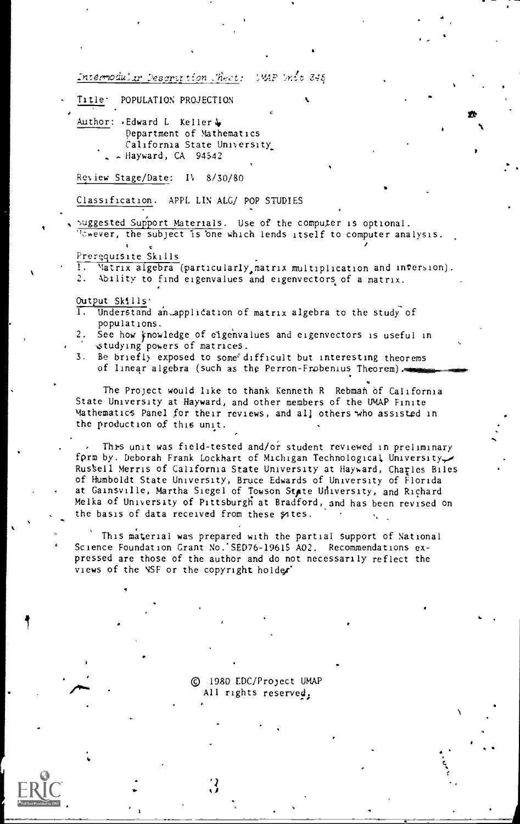Intermodular Description Chect: **SMAP Srdt 345** 

- POPULATION PROJECTION Title<sup>.</sup>
	- Author: Edward L Keller Department of Mathematics California State University - Hayward, CA 94542

Review Stage/Date: IV 8/30/80

Classification. APPL LIN ALG/ POP STUDIES

suggested Support Materials. Use of the computer is optional. Convert, the subject is one which lends itself to computer analysis.

Prerequisite Skills

ī. Matrix algebra (particularly matrix multiplication and inversion).

2. Ability to find eigenvalues and eigenvectors of a matrix.

Output Skills'

- π Understand an application of matrix algebra to the study of populations.
- See how knowledge of eigenvalues and eigenvectors is useful in studying powers of matrices. 2.
- 3. Be briefly exposed to some difficult but interesting theorems of linear algebra (such as the Perron-Frobenius Theorem).

The Project would like to thank Kenneth R Rebman of California State University at Hayward, and other members of the UMAP Finite Mathematics Panel for their reviews, and all others who assisted in the production of this unit.

This unit was field-tested and/or student reviewed in preliminary form by. Deborah Frank Lockhart of Michigan Technological University Russell Merris of California State University at Hayward, Charles Biles of Humboldt State University, Bruce Edwards of University of Florida at Gainsville, Martha Siegel of Towson State University, and Richard Melka of University of Pittsburgh at Bradford, and has been revised on the basis of data received from these sates.

This material was prepared with the partial support of National Science Foundation Grant No. SED76-19615 A02. Recommendations expressed are those of the author and do not necessarily reflect the views of the NSF or the copyright holder

> © 1980 EDC/Project UMAP All rights reserved.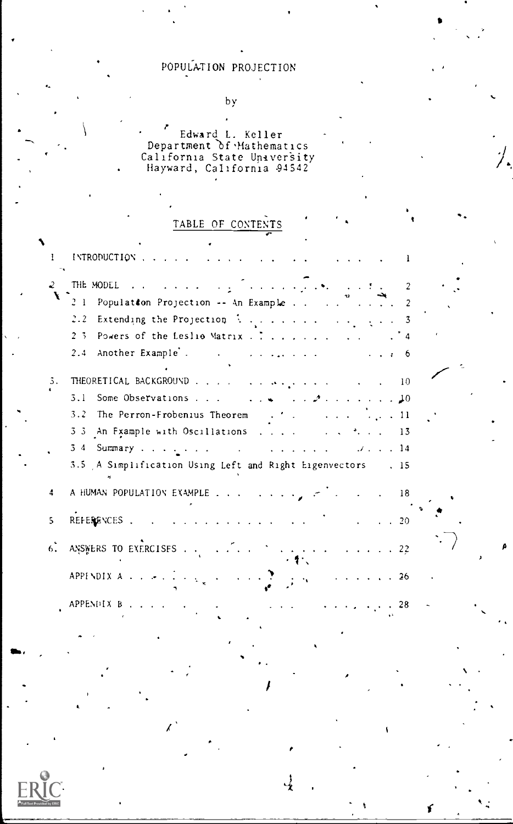# POPULATION PROJECTION

by

Fedward L. Keller 1988 Department of Mathematics and the control of  $\sim$ California State University Hayward, California -94542

!

# TABLE OF CONTENTS

|    | INTRODUCTION                                                                                                                           |
|----|----------------------------------------------------------------------------------------------------------------------------------------|
| 2. | $\overline{c}$<br>Population Projection -- An Example<br>2 <sub>1</sub>                                                                |
|    | 2.2                                                                                                                                    |
|    | $2 - 3$<br>Powers of the Leslio Matrix $\ldots$ , $\ldots$ , $\ldots$                                                                  |
|    | Another Example<br>2.4<br>the contract of the property of the con-<br>. 6                                                              |
| 3. | THEORETICAL BACKGROUND 10                                                                                                              |
|    | 3.1<br>Some Observations 10                                                                                                            |
|    | 3.2 The Perron-Frobenius Theorem $\cdots$ . $\cdots$                                                                                   |
|    | 3.3 An Fxample with Oscillations 13                                                                                                    |
|    |                                                                                                                                        |
|    | 3.5 A Simplification Using Left and Right Eigenvectors . 15                                                                            |
| 4  | A HUMAN POPULATION EXAMPLE<br>$\sim$ 18                                                                                                |
| 5. | REFERENCES .<br>$\mathbf{r}$ , and $\mathbf{r}$ , and $\mathbf{r}$ , and $\mathbf{r}$ , and $\mathbf{r}$<br>$\cdot$ $\cdot$ $\cdot$ 20 |
| 6. |                                                                                                                                        |
|    | APPENDIX $A = \{x_1, x_2, \ldots, x_n\}$<br>$\cdot$ $\cdot$ $\cdot$ $\cdot$ $\cdot$ $\cdot$ 26                                         |
|    | APPENDIX $B_1, \ldots, \ldots, \ldots, \ldots$<br>المنافر والمنافذة<br>28                                                              |
|    |                                                                                                                                        |

4



es,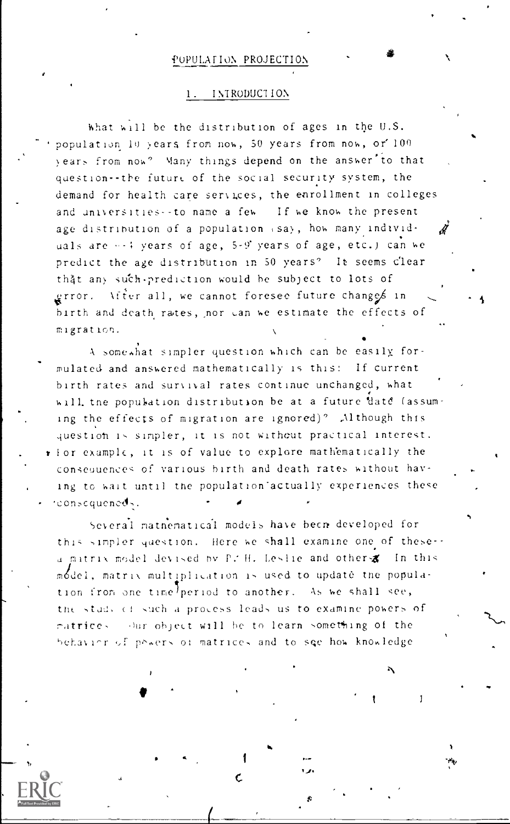#### POPULATION PROJECTION

#### 1. INTRODUCTION

what will be the distribution of ages in the U.S. population 10 years from now, 50 years from now, or 100 years from now? Many things depend on the answer to that question--the future of the social security system, the demand for health care services, the enrollment in colleges and universities--to name a few If we know the present age distribution of a population (sa), how many individuals are  $\cdots$ : years of age, 5-9' years of age, etc.) can we predict the age distribution in 50 years? It seems clear thật any such-prediction would be subject to lots of grror. After all, we cannot foresee future changes in birth and death rates, nor can we estimate the effects of migration.

A somewhat simpler question which can be easily formulated and answered mathematically is this: If current birth rates and survival rates continue unchanged, what will the population distribution be at a future date (assuming the effects of migration are ignored)? Although this question is simpler, it is not without practical interest. rior example, it is of value to explore mathematically the consequences of various birth and death rates without having to wait until the population actually experiences these reonsequences.

Several mathematical models have been developed for this simpler question. Here we shall examine one of these-a matrix model devised by P. H. Leslie and other & In this model, matrix multiplication is used to update the population from one time period to another. As we shall see, the study of such a process leads us to examine powers of matrices our object will be to learn something of the behavior of powers of matrices and to see how knowledge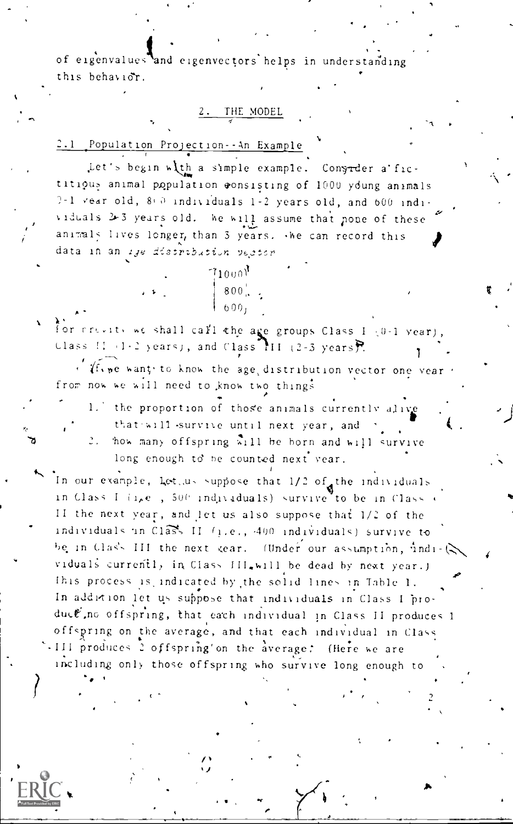of eigenvalues and eigenvectors helps in understanding this behavior.

## 2. THE MODEL

-A

2.1 Population Projection-An Example

Let's begin with a simple example. Congredr a fictitious animal population consisting of 1000 young animals  $? - 1$  vear old,  $8 + 0$  individuals 1-2 years old, and 600 individuals 2-3 years old. We will assume that none of these animals lives longer, than 3 years. Whe can record this data in an lye distribution vector

 $\begin{array}{|c|c|c|c|c|}\n\hline\n\text{1000} & & \text{1000} \\
\text{800} & & \text{1000} \\
\hline\n\end{array}$  $\begin{array}{ccc} \star & \star & \star & \star & \star \end{array}$ 

for ritions shall call the age groups Class I (0-1 year), Class II, 1-2 years), and Class  $\overline{111}$  (2-3 years).

 $\sqrt{f_{\rm v}}$  we want, to know the age, distribution vector one year. from now we will need to know two things A

1. the proportion of those animals currently alive that will survive until next year, and . 'how many offspring will he horn and will survive long enough to be counted next year.

In our example, Let.us suppose that  $1/2$  of the individuals in Class I  $(i_1,e_1, 500)$  individuals) survive to be in Class  $\epsilon$ II the next year, and let us also suppose that 1/2 of the individuals in Class II (i.e., -400 individuals) survive to be in Class III the next gear. (Under our assumption, indi- $\langle \rangle$ viduals currently in Class III.will be dead by next year.) This process is indicated by the solid lines in Table 1. In addition let us suppose that individuals in Class I produce, no offspring, that each individual in Class II produces 1 offspring on the average, and that each individual in Class III produces 2 offspring'on the average: (Here we are including only those offspring who survive long enough to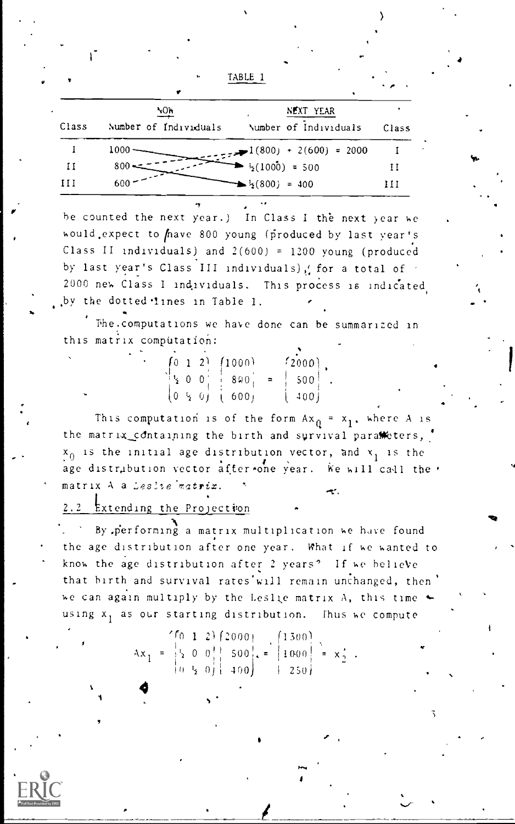TABLE 1

|       | ۷O۳                   | NEXT YEAR                                                   |       |
|-------|-----------------------|-------------------------------------------------------------|-------|
| Class | Number of Individuals | Number of Individuals                                       | Class |
|       | 1000                  | $-1(800) + 2(600) = 2000$                                   |       |
| и     | $800 -$               | $\frac{1}{2}(1000) = 500$                                   | и     |
| ПI    | 600                   | $\blacktriangleright$ <sup>1</sup> <sub>2</sub> (800) = 400 | Ħ     |

be counted the next year.) In Class I the next year we would expect to have 800 young (produced by last year's Class II individuals) and 2(600) = 1200 young (produced by last year's Class III individuals), for a total of 2000 new Class I individuals. This process is indicated by the dotted lines in Table 1.

The computations we have done can be summarized in this matrix computation:

|  |           | $\begin{pmatrix} 0 & 1 & 2 \end{pmatrix}$ $\begin{pmatrix} 1000 \end{pmatrix}$ | $f_{2000}$                                          |  |
|--|-----------|--------------------------------------------------------------------------------|-----------------------------------------------------|--|
|  |           | $\frac{1}{2}$ 0 0 $\frac{1}{2}$ 8 9 0 $\frac{1}{2}$                            | $\begin{array}{c} \begin{array}{c} \end{array}$ 500 |  |
|  | (0, 5, 0) | 16001                                                                          | $\begin{pmatrix} 400 \end{pmatrix}$                 |  |

This computation is of the form  $Ax_0 = x_1$ , where A is the matrix\_containing the birth and survival parameters,  $x_0$  is the initial age distribution vector, and  $x_1$  is the age distribution vector after one year. We will call the matrix A a Leslie matrix.

Extending the Projection  $2.2$ 

By performing a matrix multiplication we have found the age distribution after one year. What if we wanted to know the age distribution after 2 years? If we believe that birth and survival rates will remain unchanged, then we can again multiply by the Leslie matrix A, this time + using x, as our starting distribution. Thus we compute

Ax<sub>1</sub> =  $\begin{pmatrix} 6 & 1 & 2 \\ 2 & 0 & 0 & 1 \\ 0 & 3 & 0 & 1 \\ 0 & 3 & 0 & 1 \end{pmatrix}$ , =  $\begin{pmatrix} 1300 \\ 1000 \\ 250 \end{pmatrix}$  = x<sub>2</sub>.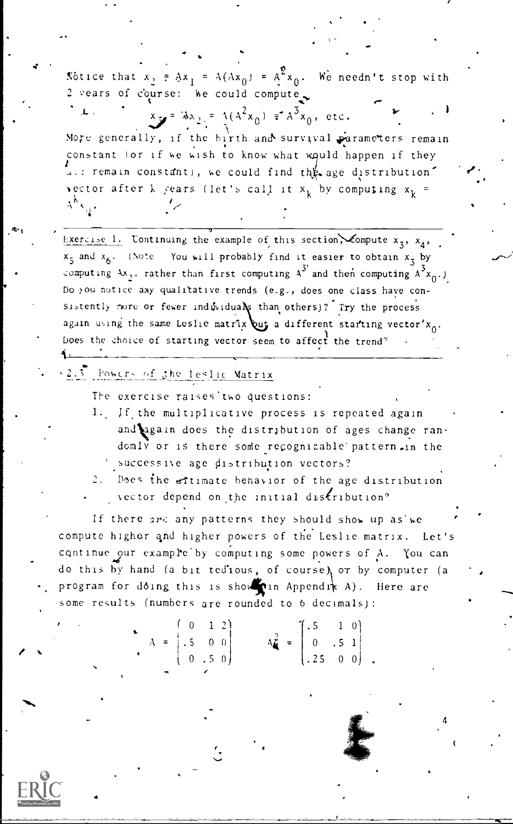Notice that  $x_2 = Ax_1 = A(Ax_0) = A^2x_0$ . We needn't stop with 2 vears of course: he could compute

 $x_{y} = \lambda x_{2} = \lambda (A^{2}x_{0}) = A^{3}x_{0}$ , etc. More generally, if the birth and survival parameters remain constant for if we wish to know what would happen if they Let remain constant), we could find the age distribution. vector after k years (let's call it  $x_k$  by computing  $x_k$  =  $A^{k}$ <sub>N<sub>Q</sub></sub>,

Exercise 1. Continuing the example of this section, compute  $x_3$ ,  $x_4$ ,  $x_5$  and  $x_6$ . (Note You will probably find it easier to obtain  $x_3$  by computing  $4x$ ,, rather than first computing  $A^3$  and then computing  $A^3 x_0$ .) Do you notice asy qualitative trends (e.g., does one class have consistently nore or fewer induviduals than others)? Try the process again using the same Leslie matrix but a different starting vector'x<sub>0</sub>. Does the choice of starting vector seem to affect the trend?

2.3 Powers of the Ieslic Matrix

The exercise raises two questions:

- 1. If the multiplicative process is repeated again and again does the distribution of ages change randomly or is there some recognizable pattern. in the ' successive age distribution vectors?
- 2. Does the eftimate behavior of the age distribution vector depend on the initial distribution?

If there are any patterns they should show up as'we compute higher and higher powers of the Leslie matrix. Let's continue our example by computing some powers of A. You can do this by hand (a bit tedious, of course) or by computer (a program for doing this is shown in Appendix A). Here are some results (numbers are rounded to 6 decimals):

 $A_{\bullet}^2 = \begin{bmatrix} .5 & 1 & 0 \\ 0 & .5 & 1 \\ .25 & 0 & 0 \end{bmatrix}$  $A = \begin{bmatrix} 0 & 1 & 1 \\ .5 & 0 & 0 \\ 0 & .5 & 0 \end{bmatrix}$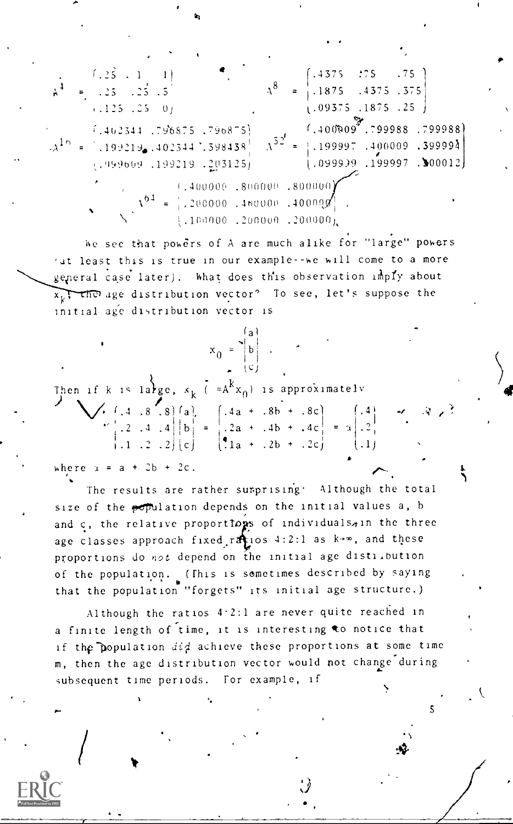$(.4375 \t .75 \t .75)$  $(1, 2\hat{5} + 1)$  $A^8 = \begin{bmatrix} 1.1875 & .4375 & .375 \end{bmatrix}$  $= 1.25 \t . 25 \t . 5$  $(0.09375, 1875, 25)$  $(.125 \t .25 \t 0)$  $(1,40000007,799988,799988)$  $(1402344, 796875, 796875)$  $\Lambda^{52'}$  $(A^{16}) = 199219$ ,  $402344$ ,  $398438$  $=$  | 199997 .400009 .399994  $(0.099991, 0.00012)$  $(199009, 199219, 203125)$  $\chi^{64} = \frac{1,400000...800000...800000}{1,200000...40000...400000}$  $\begin{bmatrix} 1 & 1 & 0 & 0 & 0 & 0 \\ 0 & 0 & 1 & 0 & 0 & 0 \\ 0 & 0 & 0 & 0 & 0 & 0 \\ 0 & 0 & 0 & 0 & 0 & 0 \\ 0 & 0 & 0 & 0 & 0 & 0 \\ 0 & 0 & 0 & 0 & 0 & 0 \\ 0 & 0 & 0 & 0 & 0 & 0 \\ 0 & 0 & 0 & 0 & 0 & 0 \\ 0 & 0 & 0 & 0 & 0 & 0 \\ 0 & 0 & 0 & 0 & 0 & 0 & 0 \\ 0 & 0 & 0 & 0 & 0 & 0 & 0 \\ 0 & 0 & 0 &$ 

We see that powers of A are much alike for "large" powers 'at least this is true in our example -- we will come to a more general case later). What does this observation imply about  $x_1$ , the age distribution vector? To see, let's suppose the initial age distribution vector is

| ≀a+<br>$x_0$       |      |
|--------------------|------|
|                    |      |
| $=A^{k}x_{0}$ ) 15 | appr |

 $\lambda$ 

| Then if k is large, $x_k$ ( $=A^kx_0$ ) is approximately<br>$\sum_{k=1}^k (1 - 8 \cos k) f_k$ ) $A_0 + B_1 + B_2$ ) (A                                                                                                                                                                                                                                                       |  |  |  |
|------------------------------------------------------------------------------------------------------------------------------------------------------------------------------------------------------------------------------------------------------------------------------------------------------------------------------------------------------------------------------|--|--|--|
| V. f. 4 . 8 . 8 fa)<br>$\begin{bmatrix} 1 & 0 & 0 \\ 0 & 0 & 0 \\ 0 & 1 & 0 \end{bmatrix} = \begin{bmatrix} 1 & 0 & 0 \\ 0 & 0 & 0 \\ 0 & 0 & 0 \end{bmatrix} = \begin{bmatrix} 1 & 0 & 0 \\ 0 & 0 & 0 \\ 0 & 1 & 0 \end{bmatrix} = \begin{bmatrix} 1 & 0 & 0 \\ 0 & 0 & 0 \\ 0 & 0 & 0 \end{bmatrix} = 2 \begin{bmatrix} 1 & 0 & 0 \\ 0 & 0 & 0 \\ 0 & 1 & 0 \end{bmatrix}$ |  |  |  |
|                                                                                                                                                                                                                                                                                                                                                                              |  |  |  |
|                                                                                                                                                                                                                                                                                                                                                                              |  |  |  |
| . hara : = a + <sup>a</sup> h + <i>ar</i>                                                                                                                                                                                                                                                                                                                                    |  |  |  |

The results are rather surprising. Although the total size of the population depends on the initial values a, b and c, the relative proportions of individuals, in the three age classes approach fixed ratios 4:2:1 as k+m, and these proportions do not depend on the initial age distilbution of the population. (This is sometimes described by saying that the population "forgets" its initial age structure.)

Although the ratios 4.2:1 are never quite reached in a finite length of time, it is interesting to notice that if the population did achieve these proportions at some time m, then the age distribution vector would not change during subsequent time periods. For example, if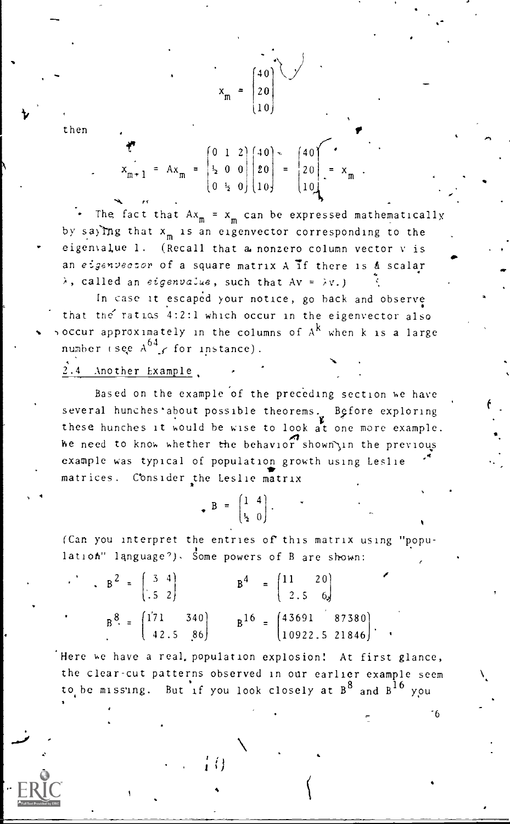then

 $\mathcal{I} = \begin{bmatrix} 0 & 1 & 2 \end{bmatrix} \begin{bmatrix} 40 \end{bmatrix}$   $\sim$   $\begin{bmatrix} 40 \end{bmatrix}$   $\sim$  $x_{m+1} = Ax_m = \begin{vmatrix} 1 & 0 & 0 \\ 0 & 0 & 0 \end{vmatrix} = \begin{vmatrix} 20 \\ 0 & 0 \end{vmatrix} = x_m$ .  $(0 \leq 0)$   $(10)$   $(10)$ 

 $40$  \  $\bigcup$ 

(10)

 $x_m = |20|$ 

The fact that  $Ax_m = x_m$  can be expressed mathematically by saying that  $x_m$  is an eigenvector corresponding to the eigenvalue 1. (Recall that a nonzero column vector v is an eigenvector of a square matrix  $A$  if there is  $A$  scalar  $\lambda$ , called an eigenvalue, such that Av =  $\lambda v$ .)

In case it escaped your notice, go back and observe that the ratios 4:2:1 which occur in the eigenvector also occur approximately in the columns of  $A^k$  when k is a large number (see  $A^{64}$ , for instance).

2.4 Another Example,

Based on the example of the preceding section we have several hunches about possible theorems. Before exploring these hunches it would he wise to look at one more example. he need to know whether the behavior shown in the previous example was typical of population growth using Leslie 4 matrices. Consider the Leslie matrix

 $B = \begin{bmatrix} 1 & 4 \\ \frac{1}{2} & 0 \end{bmatrix}$ .

(Can you interpret the entries of this matrix using "population" language?), Some powers of B are shown:

| $\mathbf{B}^2 = \begin{bmatrix} 3 & 4 \\ .5 & 2 \end{bmatrix}$ |  | $B^4 = \begin{pmatrix} 11 & 20 \\ 2.5 & 6 \end{pmatrix}$                    |
|----------------------------------------------------------------|--|-----------------------------------------------------------------------------|
| $B^8 = \begin{bmatrix} 171 & 340 \\ 42.5 & 86 \end{bmatrix}$   |  | $B^{16} = \begin{pmatrix} 43691 & 87380 \\ 10922.5 & 21846 \end{pmatrix}$ . |

Here we have a real, population explosion! At first glance, the clear-cut patterns observed in our earlier example seem to be missing. But if you look closely at  $B^8$  and  $B^{16}$  you

"6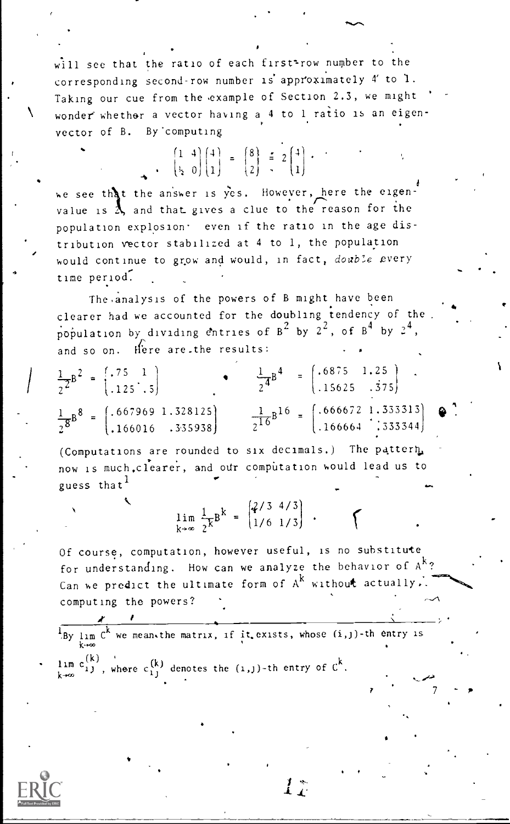will see that the ratio of each first<sup>2</sup>row number to the corresponding second-row number is approximately 4' to 1. Taking our cue from the example of Section 2.3, we might wonder' whethar a vector having a 4 to 1 ratio is an eigenvector of B. By computing

> $\begin{bmatrix} 1 & 4 \\ 1 & 2 \end{bmatrix} \begin{bmatrix} 4 \\ 1 \end{bmatrix} = \begin{bmatrix} 8 \\ 3 \end{bmatrix} = 2 \begin{bmatrix} 4 \\ 1 \end{bmatrix}$ . (1*2 | 1*) زند (1) المراكبية (1) المراكبية (1) المراكبية (1) المراكبية (1) المراكب

we see that the answer is yes. However, here the eigenvalue is  $\lambda$ , and that gives a clue to the reason for the population explosion' even if the ratio in the age distribution vector stabilized at 4 to 1, the population would continue to grow and would, in fact, double every time period-.

The.analysis of the powers of B might have been clearer had we accounted for the doubling tendency of the population by dividing entries of  $B^2$  by  $2^2$ , of  $B^4$  by  $2^4$ , and so on. Here are the results:  $\cdot$ 

| $\frac{1}{2^2}B^2 = \begin{bmatrix} .75 & 1 \\ .125 & .5 \end{bmatrix}$                   | $\frac{1}{2}4B^4 = \begin{pmatrix} .6875 & 1.25 \\ .15625 & .375 \end{pmatrix}$ .                          |
|-------------------------------------------------------------------------------------------|------------------------------------------------------------------------------------------------------------|
| $\frac{1}{2}8B^8 = \begin{pmatrix} .667969 & 1.328125 \\ .166016 & .335938 \end{pmatrix}$ | $\frac{1}{2^{16}}B^{16} = \begin{bmatrix} .666672 & 1.333313 \\ .166664 & .333344 \end{bmatrix}$ $\bullet$ |

(Computations are rounded to six decimals.) The pattern, now is much, clearer, and our computation would lead us to guess that<sup>1</sup>

> $\left[2/3 \right. 4/3$  $\lim_{k \to \infty} \frac{1}{2}k^B = \left(\frac{1}{6} \frac{1}{3}\right)^2$

Of course, computation, however useful, is no substitute for understanding. How can we analyze the behavior of  $A^k$ ? Can we predict the ultimate form of  $A^k$  without actually. computing the powers?

 $\mu_{\rm By\;lim}$  C<sup>k</sup> we mean.the matrix, if it.exists, whose  $(i,j)$ -th entry is

 $\lim_{k \to \infty} c_{1,1}^{(K)}$ , where  $c_{1,1}^{(k)}$  denotes the (1,1)-th entry of  $c^k$ .



 $\stackrel{*}{I}$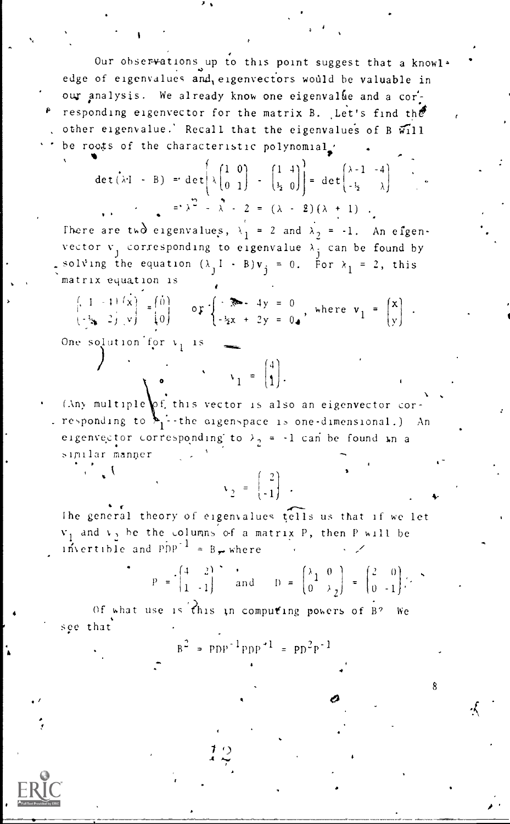Our observations up to this point suggest that a knowl+ edge of eigenvalues and eigenvectors would be valuable in our analysis. We already know one eigenvalue and a corresponding eigenvector for the matrix B. Let's find the other eigenvalue.' Recall that the eigenvalues of B will be roots of the characteristic polynomial.

$$
\det(\lambda \cdot I - B) = \det\left(\lambda \begin{pmatrix} 1 & 0 \\ 0 & 1 \end{pmatrix} - \begin{pmatrix} 1 & 4 \\ \frac{1}{2} & 0 \end{pmatrix}\right) = \det\begin{pmatrix} \lambda - 1 & -4 \\ -\frac{1}{2} & \lambda \end{pmatrix}
$$

There are two eigenvalues,  $\lambda_1 = 2$  and  $\lambda_2 = -1$ . An eigenvector  $v_1$  corresponding to eigenvalue  $\lambda_1$  can be found by solving the equation  $(\lambda_1 I - B)v_j = 0$ . For  $\lambda_1 = 2$ , this matrix equation is

 $\begin{bmatrix} 1 & -1 & 1 \ 1 & -1 & 1 \end{bmatrix}$   $\begin{bmatrix} x \ x \ y \end{bmatrix}$  =  $\begin{bmatrix} 0 \ 0 \end{bmatrix}$  or  $\begin{cases} -x^2 - 4y = 0 \\ -2x + 2y = 0 \end{cases}$ , where  $v_1 = \begin{bmatrix} x \\ y \end{bmatrix}$ .

One solution for  $v_1$  is

(Any multiple of this vector is also an eigenvector cor responding to  $\sum_{i=1}^{n}$  the digenspace is one-dimensional.) An eigenvector corresponding to  $\lambda_2 = -1$  can be found in a similar manner

 $\mathbf{v}_1 = \begin{pmatrix} 4 \\ 1 \end{pmatrix}$ .

 $v_2 = \begin{bmatrix} 2 \\ -1 \end{bmatrix}$ .

The general theory of eigenvalues tells us that if we let  $v_1$  and  $v_2$ , be the columns of a matrix P, then P will be invertible and  $pDP^{-1} = B_{\text{w}}$  where

$$
P = \begin{pmatrix} 4 & 2 \\ 1 & -1 \end{pmatrix} \text{ and } D = \begin{pmatrix} \lambda_1 & 0 \\ 0 & \lambda_2 \end{pmatrix} = \begin{pmatrix} 2 & 0 \\ 0 & -1 \end{pmatrix}.
$$

Of what use is this in computing powers of B? **We** see that

 $B^2 = PDP^{-1}PPP^{-1} = PD^2P^{-1}$ 

٠,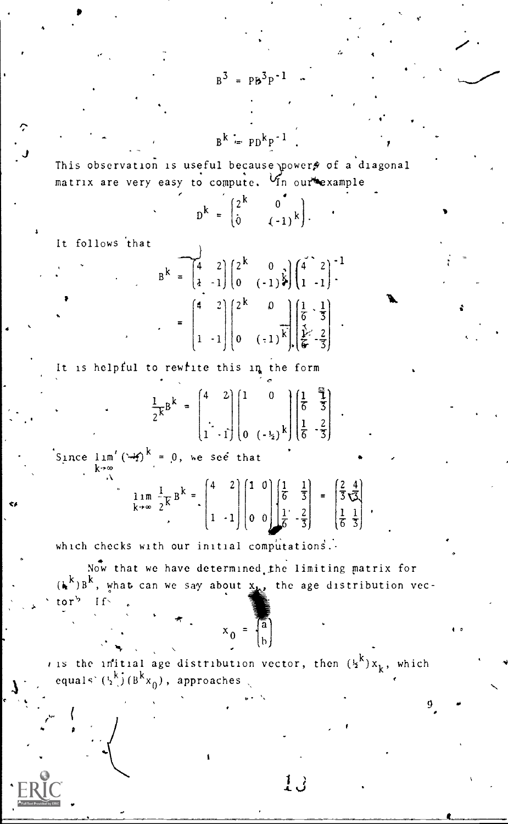$B^k = PD^kp^{-1}$ 

 $B^3 = PB^3P^{-1}$ 

This observation is useful because powers of a diagonal matrix are very easy to compute. Vin our example

| $D^{k} = \begin{pmatrix} 2^{k} \\ 0 \end{pmatrix}$ |  |                                               |
|----------------------------------------------------|--|-----------------------------------------------|
|                                                    |  | $\begin{pmatrix} 0 \\ (-1)^k \end{pmatrix}$ . |

It follows that

$$
B^{k} = \begin{bmatrix} 4 & 2 \\ 4 & -1 \end{bmatrix} \begin{bmatrix} 2^{k} & 0 \\ 0 & (-1)^{\frac{1}{2}} \end{bmatrix} \begin{bmatrix} 4 & 2 \\ 1 & -1 \end{bmatrix}^{-1}
$$

$$
= \begin{bmatrix} 4 & 2 \\ 1 & -1 \end{bmatrix} \begin{bmatrix} 2^{k} & 0 \\ 0 & (-1)^{\frac{1}{k}} \end{bmatrix} \begin{bmatrix} \frac{1}{6} & \frac{1}{3} \\ \frac{1}{6} & -\frac{2}{3} \end{bmatrix} .
$$

It is helpful to rewfite this in the form

$$
\mathbf{K}^{\mathbf{B}^k} = \begin{pmatrix} 4 & 2 \\ 1 & 1 \end{pmatrix} \begin{pmatrix} 1 & 0 \\ 0 & 1 \end{pmatrix} \begin{pmatrix} \frac{1}{6} & \frac{1}{3} \\ \frac{1}{6} & \frac{2}{3} \end{pmatrix}
$$

Since  $\lim'(4)$ <sup>k</sup> = 0, we see that

$$
\lim_{x \to \infty} \frac{1}{2} \mathbf{K} \mathbf{B}^k = \begin{pmatrix} 4 & 2 \\ 1 & -1 \end{pmatrix} \begin{pmatrix} 1 & 0 \\ 0 & 0 \end{pmatrix} \begin{pmatrix} \frac{1}{6} & \frac{1}{3} \\ \frac{1}{6} & -\frac{2}{3} \end{pmatrix} = \begin{pmatrix} \frac{2}{3} & \frac{4}{3} \\ \frac{1}{6} & \frac{1}{3} \end{pmatrix}
$$

which checks with our initial computations.

Now that we have determined the limiting matrix for  $(\mathbf{k}^k)$   $\mathbf{B}^k$ , what can we say about  $\underline{\mathbf{x}_k}$ , the age distribution vector $b - If$ 

$$
x_0 = \begin{bmatrix} a \\ b \end{bmatrix}
$$

*i* is the initial age distribution vector, then  $({x^k})x_k$ , which equals  $(\frac{k}{2}) (\frac{B}{2}x_0)$ , approaches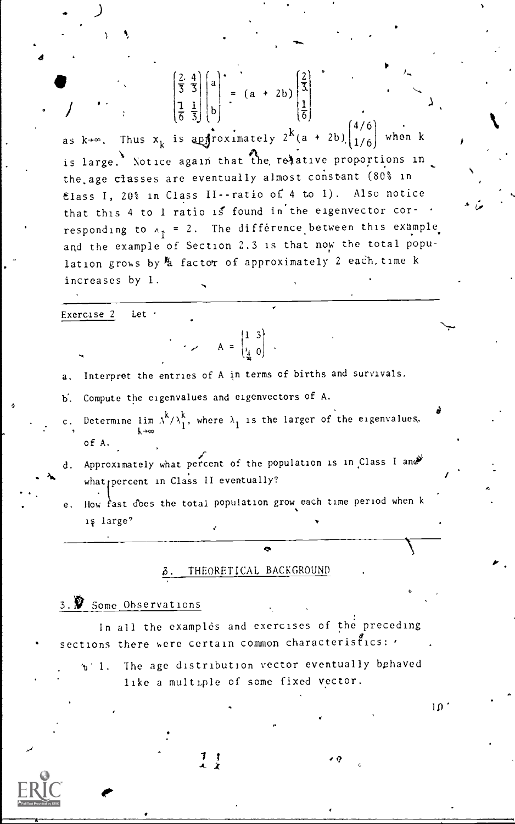$\frac{2}{3} \cdot \frac{4}{3}$   $\left| \begin{array}{c} a \\ a \end{array} \right| = (a + 2b) \cdot \frac{2}{3}$  $\frac{1}{2}$   $\left| \frac{1}{2} \right|$ 

 $\begin{pmatrix} 1 & 1 \ \frac{1}{6} & \frac{1}{3} \end{pmatrix}$  (b)  $\begin{pmatrix} \frac{1}{6} \\ \frac{1}{6} \end{pmatrix}$  . Thus  $x_k$  is approximately  $2^k (a + 2b) \begin{pmatrix} 4/6 \\ 1/6 \end{pmatrix}$  when k , is large. Notice again that the relative proportions in the.age classes are eventually almost constant (80% in Elass I, 20% in Class II--ratio of 4 to 1). Also notice that this 4 to 1 ratio is found in the eigenvector corresponding to  $A_{\uparrow}$  = 2. The difference between this example and the example of Section 2.3 is that now the total population grows by  $k$  factor of approximately 2 each, time k increases by 1.

Exercise 2 Let .

a. Interpret the entries of A in terms of births and survivals.

 $A = \begin{bmatrix} 1 & 3 \\ 1 & 0 \end{bmatrix}$ .

b. Compute the eigenvalues and eigenvectors of A.

Determine lim  $A^k/\lambda_1^k$ , where  $\lambda_1$  is the larger of the eigenvalues. of A.

d. Approximately what percent of the population is in Class I and what percent in Class II eventually?

e. How fast does the total population grow each time period when k large'

# THEORETICAL BACKGROUND

# 3. Some Observations

**IP** *IP IP IP IP* 

In all the examples and exercises of the preceding sections there were certain common characteristics:

 $\sim$   $\sim$ 

b' 1. The age distribution vector eventually behaved like a multiple of some fixed vector.

 $10<sup>1</sup>$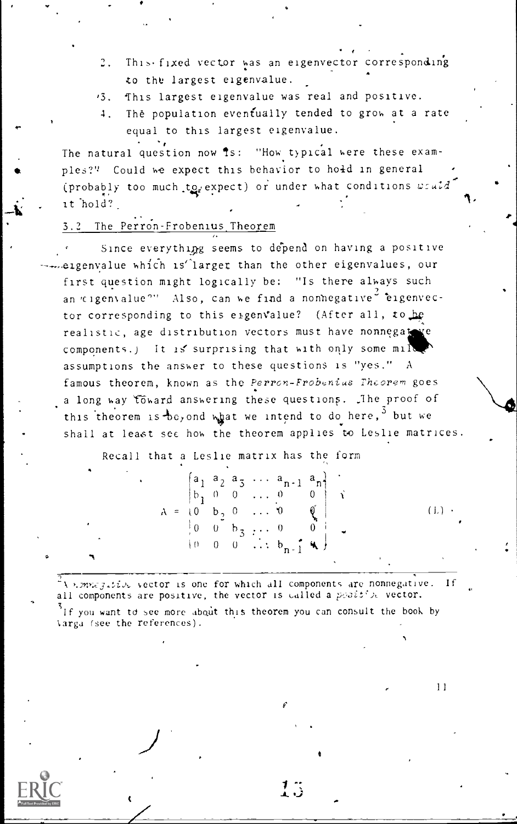- 2. This fixed vector was an eigenvector corresponding to the largest eigenvalue.
- '3. This largest eigenvalue was real and positive.
- 4. The population eventually tended to groh at a rate equal to this largest eigenvalue.

The natural question now is: "How typical were these examples?" Could we expect this behavior to hold in general (probably too much to expect) or under what conditions  $w \in \mathcal{U}d$ it hold?\_

**/\*** // // // //

#### 3.2 The Perron-Frobenius Theorem

Since everything seems to depend on having a positive eigenvalue which is larger than the other eigenvalues, our first question might logically be: "Is there always such an  $\epsilon$ igenvalue $^{\circ\circ}$  Also, can we find a nonnegative<sup>2</sup> eigenvector corresponding to this eigenvalue? (After all, to be realistic, age distribution vectors must have nonnegate components.) It is surprising that with only some mil assumptions the answer to these questions is "yes." A famous theorem, known as the Perron-Frobenius Theorem goes a long way toward answering these questions. The proof of this theorem is be, and what we intend to do here,  $3$  but we shall at least see how the theorem applies to Leslie matrices.

Recall that a Leslie matrix has the form

|  |  |  | $\begin{bmatrix} a_1 & a_2 & a_3 & \cdots & a_{n-1} & a_n \end{bmatrix}$        |              |  |         |  |
|--|--|--|---------------------------------------------------------------------------------|--------------|--|---------|--|
|  |  |  | $\begin{vmatrix} b_1 & 0 & 0 & \ldots & 0 & 0 \end{vmatrix}$ $\hat{\mathbf{x}}$ |              |  |         |  |
|  |  |  | $A = \{0, b, 0, \ldots, 0\}$                                                    | $\mathbb{Q}$ |  | $(L)$ . |  |
|  |  |  | $\begin{bmatrix} 0 & 0 & b_3 & \cdots & 0 & 0 \end{bmatrix}$                    |              |  |         |  |
|  |  |  | $\{0 \quad 0 \quad 0 \quad \dots \quad b_{n-1} \in \mathbb{R} \}$               |              |  |         |  |
|  |  |  |                                                                                 |              |  |         |  |

f

 $\mathcal{I}$  .

 $11$ 

 $\tilde{A}$ ).external vector is one for which all components are nonnegative. If all components are positive, the vector is called a positive vector.

If you want to see more about this theorem you can consult the book by 'arga (see the references).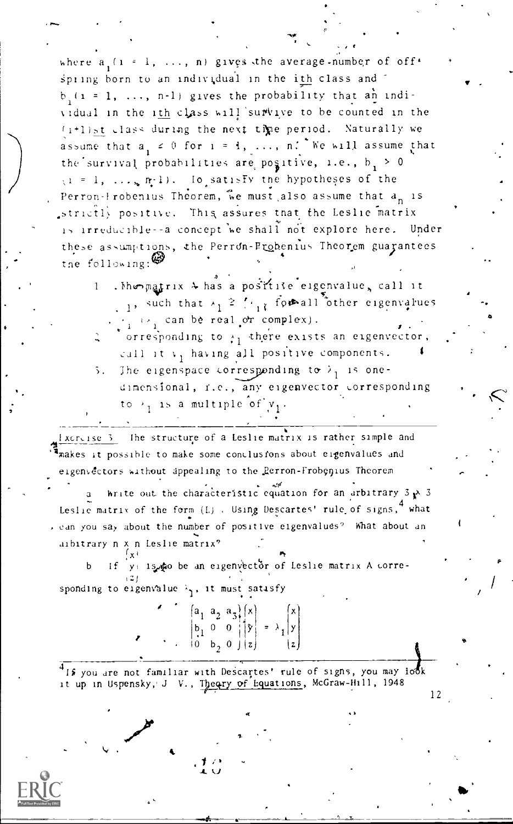where  $a_i$   $(i = 1, ..., n)$  gives the average-number of off. spring born to an individual in the ith class and  $b(1 = 1, ..., n-1)$  gives the probability that an individual in the ith class will survive to be counted in the (i+list class during the next time period. Naturally we assume that  $a_1 \neq 0$  for  $i = 1, \ldots, n$ . We will assume that the survival probabilities are positive, i.e.,  $b_1 > 0$  $(1 = 1, \ldots, n-1)$ . Io satisfy the hypotheses of the Perron-Frobenius Theorem, we must also assume that a<sub>n</sub> is strictly positive. This assures that the Leslie matrix is irreducible--a concept we shall not explore here. Under these assumptions, the Perron-Probenius Theorem guarantees the following:

. Mongatrix 4 has a postfile eigenvalue, call it  $\mathbf{1}$  $\frac{1}{2}$ , such that  $\lambda_1 \geq \frac{1}{2}$  for all other eigenvalues  $\cdots$   $\cdots$  can be real or complex).

- orresponding to  $\frac{1}{11}$  there exists an eigenvector. call it v<sub>1</sub> having all positive components.
- The eigenspace corresponding to  $\lambda_1$  is one-5. dimensional, r.e., any eigenvector corresponding to  $\rightarrow$ , is a multiple of  $v_1$ .

The structure of a Leslie matrix is rather simple and  $Xcr = 1se$ <sup>3</sup> anakes it possible to make some conclusfons about eigenvalues and eigenvectors without appealing to the Rerron-Frobenius Theorem

Write out the characteristic equation for an arbitrary  $3 \times 3$ Leslie matrix of the form (L). Using Descartes' rule of signs, 4 what , can you say about the number of positive eigenvalues? What about an aibitrary n x n Leslie matrix?

y is to be an eigenvector of Leslie matrix A corre-If. sponding to eigenvalue  $\lambda$ , it must satisfy

 $\begin{pmatrix} a_1 & a_2 & a_3 \\ b_1 & 0 & 0 \\ 0 & b_2 & 0 \end{pmatrix} \begin{pmatrix} x \\ y \\ z \end{pmatrix} = \lambda_1 \begin{pmatrix} x \\ y \\ z \end{pmatrix}$ 

If you are not familiar with Descartes' rule of signs, you may look it up in Uspensky, J V., Theory of Equations, McGraw-Hill, 1948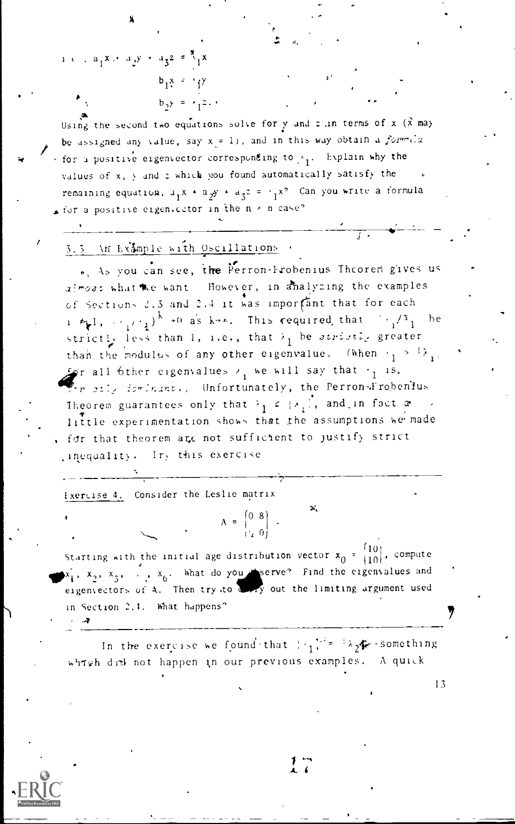1 c,  $a_1x + a_2y + a_3z = \frac{8}{3}x$ 

Using the second two equations solve for y and z in terms of x  $(\tilde{x}$  may be assigned any value, say  $x = 1$ ), and in this way obtain a formula for a positive eigenvector corresponding to p<sub>1</sub>. Explain why the values of x, y and z which you found automatically satisfy the remaining equation,  $a_1x + a_2y + a_3z = \frac{1}{1}x^2$  Can you write a formula sion a positive eigenvector in the  $n \times n$  case?

### 3.3 \n Example with Oscillations

 $b_1x = -y$  $b_2 y = x_1 z_2$ 

., As you can see, the Perron-Frobenius Theorem gives us almost what we want - However, in analyzing the examples of Sections 2.3 and 2.4 it was important that for each  $1 \leq 1$ ,  $\leq \frac{1}{1}$ ,  $\leq \frac{1}{1}$ ,  $\leq \frac{1}{1}$  as k.z. This required that  $\leq \frac{1}{1}$  be strictly less than 1, 1.e., that  $\lambda_1$  be strictly greater than the modulus of any other eigenvalue. (When  $\cdot_1$  >  $\cdot_2$ ),  $\mathcal{L}_{\mathbf{S}}$ r all bther eigenvalues  $\lambda_1$  we will say that  $\lambda_1$  is.  $\blacktriangleright$ r etly forinant, Unfortunately, the Perron-Frobenius Theorem guarantees only that  $\frac{1}{1} \leq \frac{1}{1}$ , and in fact a little experimentation shows that the assumptions we made for that theorem are not sufficient to justify strict inequality. Ir, this exercise

Exercise 4. Consider the Leslie matrix

Starting with the initial age distribution vector  $x_0 = \begin{bmatrix} 10 \\ 10 \end{bmatrix}$ , compute  $(x_1, x_2, x_3, \ldots, x_6, x_7, x_8, x_9, x_1, x_1, x_2, x_3, x_1, x_2, x_3, x_1, x_2, x_3, x_1, x_2, x_3, x_4, x_1, x_2, x_3, x_4, x_5, x_6, x_7, x_8, x_9, x_{10}$ in Section 2.1. What happens?

 $A = \begin{bmatrix} 0 & 8 \\ 1 & 0 \end{bmatrix}$ .

 $\mathbf{p}_i$ 

In the exercise we found that  $\gamma_1$ <sup>12</sup> =  $\lambda_2$ **4** - something which did not happen in our previous examples. A quick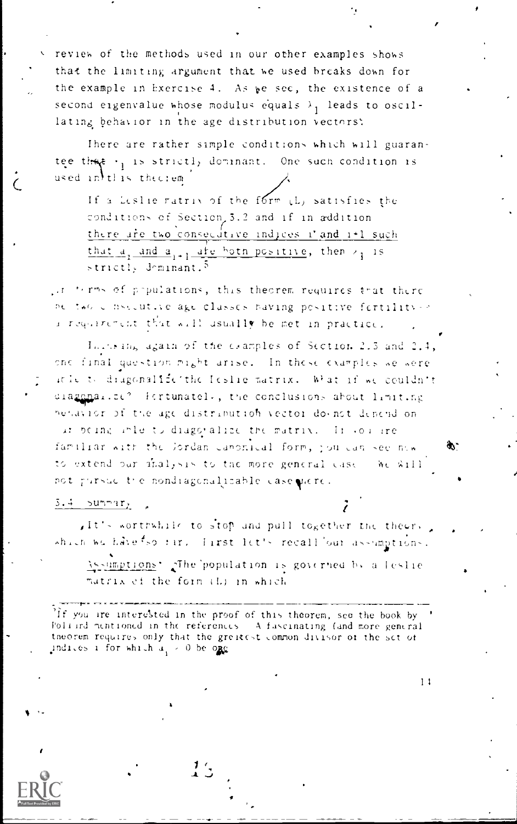review of the methods used in our other examples shows that the limiting argument that we used breaks down for the example in Exercise 4. As we sec, the existence of a second eigenvalue whose modulus equals  $\lambda_1$  leads to oscillating behavior in the age distribution vectors:

There are rather simple conditions which will guarantee that . is strictly dominant. One such condition is used in this theorem.

If a Leslie ratrix of the form (L) satisfies the conditions of Section, 3.2 and if in addition there are two consecutive indices i'and i+1 such that  $a_1$  and  $a_1$ , are both positive, then  $a_1$  is strictly deminant.<sup>5</sup>

if terms of populations, this theorem requires that there be two consecutive age classes having positive fertility -> a requirement that will usually be met in practice.

In the High again of the examples of Section 2.3 and 2.4, one final question might arise. In these examples we were it is to diagonalize the Ieslie matrix. What if we couldn't diagonalize? Fortunatel, the conclusions about limiting behavior of the age distribution vector do not depend on at being able to diagoralize the matrix. In source familiar with the Jordan Canonical form, jou can see him to extend our minal, sis to the more general case. We will not pursue the nondiagonalizable case piere.

Ф.

 $11$ 

#### $5.4 - \frac{525}{100}$

ift's worthwhile to stop and pull together the theory which we have tso far. Tarst let's recall our assumptions.

Assumptions' The population is governed by a leslie matrix ef the form (L) in which

If you are interested in the proof of this theorem, see the book by Politicd mentioned in the references. A fuscinating (and more general theorem requires only that the greatest common divisor of the set of indices i for which  $a_i > 0$  be one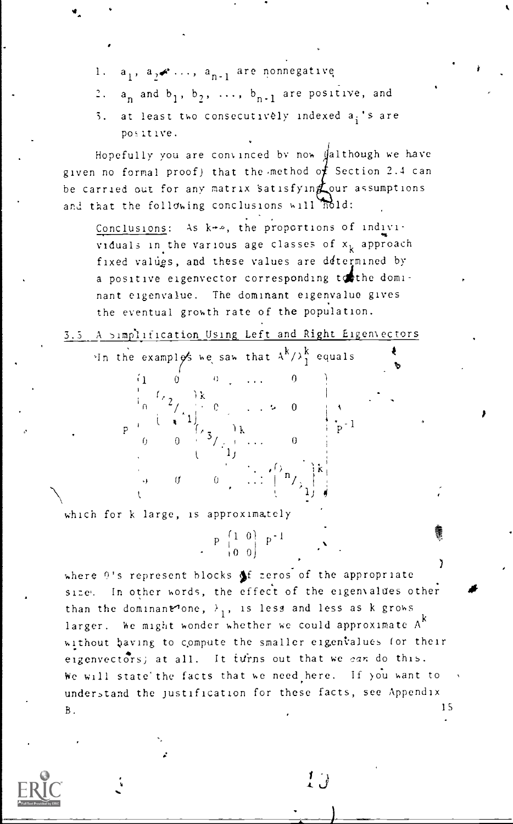- 1.  $a_1$ ,  $a_2$   $\cdots$ ,  $a_{n-1}$  are nonnegative
- 2.  $a_n$  and  $b_1$ ,  $b_2$ , ...,  $b_{n-1}$  are positive, and
- 5. at least two consecutively indexed  $a_i$ 's are positive.

Hopefully you are convinced by now  $\int a 1$  though we have given no formal proof) that the method of Section 2.4 can be carried out for any matrix satisfyin  $\chi$  our assumptions and that the following conclusions will nold:

Conclusions: As  $k\rightarrow\infty$ , the proportions of indivividuals in the various age classes of  $x_k$  approach fixed values, and these values are determined by a positive eigenvector corresponding tothe dominant eigenvalue. The dominant eigenvalue gives the eventual growth rate of the population.

 $\overline{0}$   $\overline{1}$ 

 $\cup$ 

 $\frac{1}{p}$  p<sup>-1</sup>

 $\cup$   $\top$ 

 $\langle \cdot | \cdot \rangle$  is a set of  $\langle \cdot | \cdot \rangle$ 0  $\ldots$   $\vdots$   $\vdots$   $\vdots$ 

 $\cdot$  , , , ,

1'1

Al) 4

3.5 A simplification Using Left and Right Eigenvectors

U . . .

 $\left( \begin{array}{cc} 1 & 1 \\ 1 & 1 \end{array} \right)$ 

In the examplos we saw that  $A^{k}/\lambda_{1}^{k}$  equals

 $\lambda_2$ , ik

 $0 \t 0 \t 3/2 \t ...$ 

which for k large, is approximately

 $\left(1\right)$  0 0 0

where  $\Omega$ 's represent blocks of zeros of the appropriate size. In other words, the effect of the eigenvalues other than the dominant one,  $\lambda_1$ , is less and less as k grows  $\frac{1}{k}$ larger. We might wonder whether we could approximate  $A^k$ without baving to compute the smaller eigenvalues (or their eigenvectors) at all. It turns out that we can do this. We will state the facts that we need here. If you want to understand the justification for these facts, see Appendix B. IS

 $P\begin{bmatrix}1 & 0\\1 & 0\\0 & 0\end{bmatrix}$   $P^{-1}$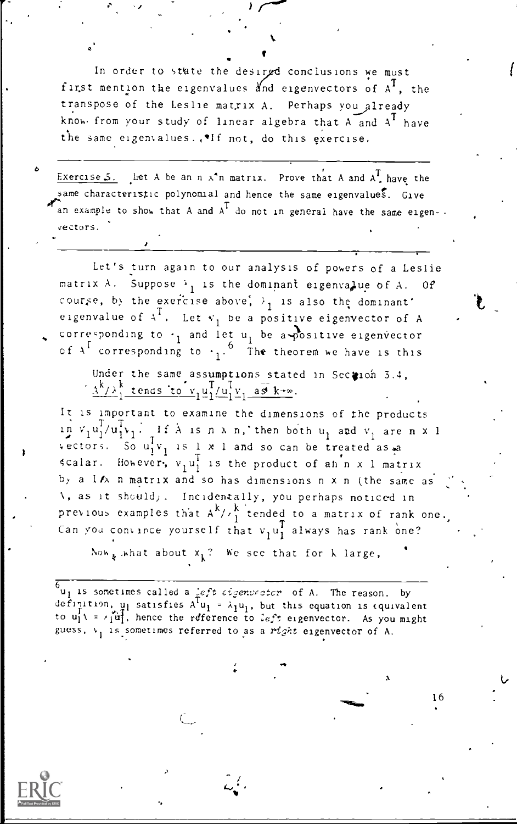In order to state the desired conclusions we must first mention the eigenvalues and eigenvectors of  $A^I$ , the transpose of the Leslie matrix A. Perhaps you already know from your study of linear algebra that A and  $\text{A}^1$  have the same eigenvalues... If not, do this exercise.

%. **I** I am a shift

 $\mathcal{A}$  //

Exercise 5. Let A be an n  $x^n$ n matrix. Prove that A and  $A<sup>T</sup>$  have the same characteristic polynomial and hence the same eigenvalues. Give  $\mathcal{A}_{\text{an example}}$  to show that A and  $A^T$  do not in general have the same eigen--vectors.

z za zastawa na pozitiwa na pozitiwa na pozitiwa na pozitiwa na pozitiwa na pozitiwa na pozitiwa na pozitiwa n<br>Danima na pozitiwa na pozitiwa na pozitiwa na pozitiwa na pozitiwa na pozitiwa na pozitiwa na pozitiwa na pozi

Let's turn again to our analysis of powers of a Leslie matrix A. Suppose  $\lambda_1$  is the dominant eigenvalue of A. Of course, by the exercise above,  $\lambda_1$  is also the dominant' eigenvalue of  $A^T$ . Let  $v_1$  be a positive eigenvector of A  $\longrightarrow$ corresponding to  $\cdot_1$  and let u<sub>l</sub> be a positive eigenvector of  $A^4$  corresponding to  $\leftarrow_1$ . The theorem we have is this

Under the same assumptions stated in Section 3.4,  $\frac{\Lambda^{K}/\lambda^{K}}{1}$  tends to  $v_1 u_1^{1}/u_1^{1}v_1$ .  $u_1^1/u_1^1v_1 a_2 \overline{s} k + \infty$ .

It is Important to examine the dimensions of the products  $\lim_{n \to \infty} v_1 u_1^1 / u_1^1 v_1$ . If A is n x n, then both  $u_1$  and  $v_1$  are n x 1 vectors. So  $u_1^T v_1$  is 1 x 1 and so can be treated as a scalar. However,  $v_1u_1^1$  is the product of ah n x 1 matrix by a 1/A n matrix and so has dimensions n x n (the same as A, as it sheuld). Incidentally, you perhaps noticed in previous examples that  $A^{k}/A_{1}^{k}$  tended to a matrix of rank one. Can you convince yourself that  $v_1u_1^T$  always has rank one?

Now  $_k$  what about  $x_k$ ? We see that for k large,  $\hspace{0.2cm}$ 

 $^{6}$ u<sub>1</sub> is sometimes called a *ieft eigenvector* of A. The reason. by definition,  $\mu_1$  satisfies A'u<sub>l</sub> =  $\lambda_1$ u<sub>l</sub>, but this equation is equivalent to  $u_1^1 \setminus \cdots \setminus u_1^1$ , hence the reference to left eigenvector. As you might guess,  $v_1$  is sometimes referred to as a right eigenvector of A.

.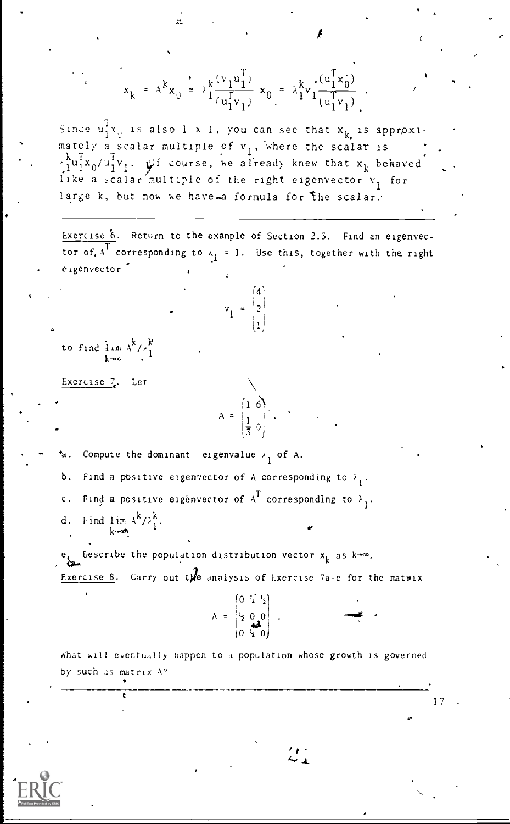$$
x_{k} = \lambda^{k} x_{0} \approx \frac{\lambda_{k} \left(v_{1} \pm \frac{\lambda_{1}}{1}\right)}{(\frac{1}{u_{1}^{2}v_{1}})} \times_{0} = \lambda_{1}^{k} v_{1} \frac{\left(v_{1}^{2} x_{0}\right)}{\left(v_{1}^{2} v_{1}\right)}.
$$
\nSince  $u_{1}^{2} x_{0}$  is also  $1 \times 1$ , you can see that  $x_{k}$  is approximately a scalar multiple of  $v_{1}$ , where the scalar is  $\lambda_{1}^{2} u_{0}^{2} (u_{1}^{2} v_{1})$ . If course, we already knew that  $x_{k}$  behaved like a scalar multiple of the right eigenvector  $v_{1}$  for large  $k$ , but now he have- $a$  formula for the scalar.\n\nExercise 6. Return to the example of Section 2.3. Find an eigenvector of  $x_{1}$  corresponding to  $x_{1} = 1$ . Use this, together with the right eigenvector\n
$$
v_{1} = \begin{bmatrix} 4 \\ -1 \\ 1 \end{bmatrix}
$$
\nto find  $\lim_{k \to \infty} \frac{\lambda_{k}}{k}$ \n
$$
\frac{1}{x}
$$
\n
$$
\frac{1}{x}
$$
\n
$$
\frac{1}{x}
$$
\n
$$
\frac{1}{x}
$$
\n
$$
\frac{1}{x}
$$
\n
$$
\frac{1}{x}
$$
\n
$$
\frac{1}{x}
$$
\n
$$
\frac{1}{x}
$$
\n
$$
\frac{1}{x}
$$
\n
$$
\frac{1}{x}
$$
\n
$$
\frac{1}{x}
$$
\n
$$
\frac{1}{x}
$$
\n
$$
\frac{1}{x}
$$
\n
$$
\frac{1}{x}
$$
\n
$$
\frac{1}{x}
$$
\n
$$
\frac{1}{x}
$$
\n
$$
\frac{1}{x}
$$
\n
$$
\frac{1}{x}
$$
\n
$$
\frac{1}{x}
$$
\n
$$
\frac{1}{x}
$$
\n
$$
\frac{1}{x}
$$
\n
$$
\frac{1}{x}
$$
\n
$$
\frac{1}{x}
$$
\n
$$
\frac{1}{x}
$$
\n
$$
\frac{1}{x}
$$
\n

 $\mathcal{L}$ 

 $\overline{\mathbf{f}}$ 

 $\hat{z}_4$ 

 $ERIC$  $\frac{1}{\lambda_{\text{Full}}}$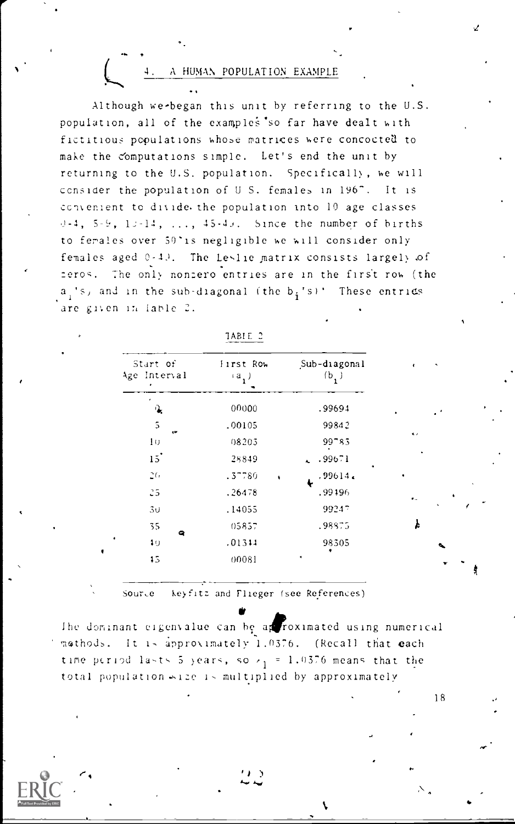A HUMAN POPULATION EXAMPLE

Although we-began this unit by referring to the U.S. population, all of the examples so far have dealt with fictitious populations whose matrices were concocted to make the computations simple. Let's end the unit by returning to the U.S. population. Specifically, we will consider the population of U.S. females in 196". It is convenient to divide the population into 10 age classes  $-4$ ,  $5-9$ ,  $13-14$ , ...,  $45-43$ . Since the number of births to ferales over 50'is negligible we will consider only females aged 0-40. The Leslie matrix consists largely of zeros. The only nonzero entries are in the first row (the  $a_i$ 's, and in the sub-diagonal (the  $b_i$ 's)'. These entries are given in lable 2.

| Start of<br>Age Interval | lirst Row<br>$(a_1)$           | Sub-diagonal<br>(b,) |
|--------------------------|--------------------------------|----------------------|
| ٠<br>્ર                  | 00000                          | .99694               |
| 5<br>œ                   | .00105                         | 99842                |
| 10                       | 08203                          | 99785                |
| 15                       | 28849                          | .99671               |
| 26                       | .37780<br>$\ddot{\phantom{0}}$ | .99614.              |
| 25                       | .26478                         | .99196               |
| 30                       | .14055                         | 99247                |
| 35<br>۰                  | 05857                          | .98875               |
| 10                       | .01311                         | 98305                |
| 15                       | 00081                          | ٠                    |

TABIE 2

Source keyfitz and Flieger (see References)

The dominant eigenvalue can be approximated using numerical mathods. It is approximately 1.0376. (Recall that each time period lasts 5 years, so  $r_1 = 1.0376$  means that the total population <12e is multiplied by approximately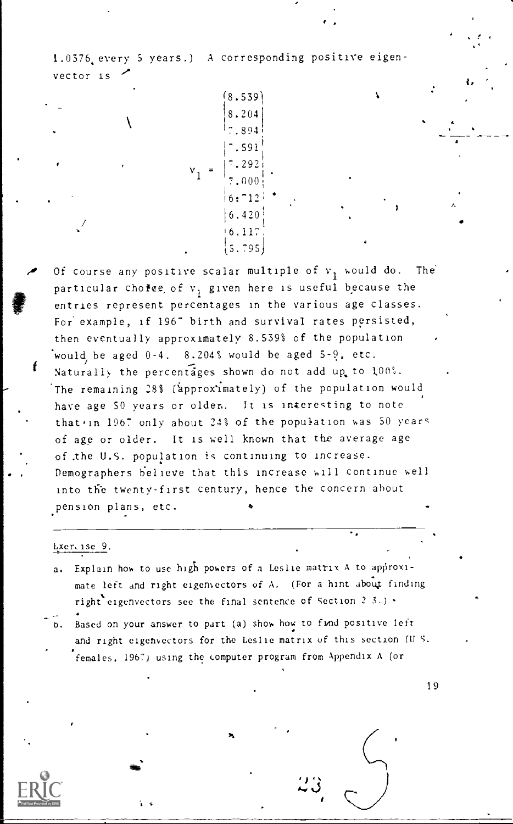1.0376 every 5 years.) A corresponding positive eigenvector is

 $8.539$ 

8.204  $.894$ .591  $6:712$  $6.420$  $5.795$ 

Of course any positive scalar multiple of  $v_1$  would do. The particular cholee, of v<sub>1</sub> given here is useful because the entries represent percentages in the various age classes. For example, if 196" birth and survival rates persisted, then eventually approximately 8.539% of the population would be aged 0-4. 8.204% would be aged 5-9, etc. Naturally the percentages shown do not add up to 100%. The remaining 28% (approximately) of the population would have age 50 years or olden. It is interesting to note that in 1967 only about 24% of the population was 50 years of age or older. It is well known that the average age of the U.S. population is continuing to increase. Demographers believe that this increase will continue well into the twenty-first century, hence the concern about pension plans, etc.

#### Lxeruise 9.

- Explain how to use high powers of a Leslie matrix A to approxi $a_{\bullet}$ mate left and right eigenvectors of A. (For a hint about finding right eigenvectors see the final sentence of Section 2 3.) .
- b. Based on your answer to part (a) show how to fund positive left and right eigenvectors for the Leslie matrix of this section (U.S. females, 1967) using the computer program from Appendix A (or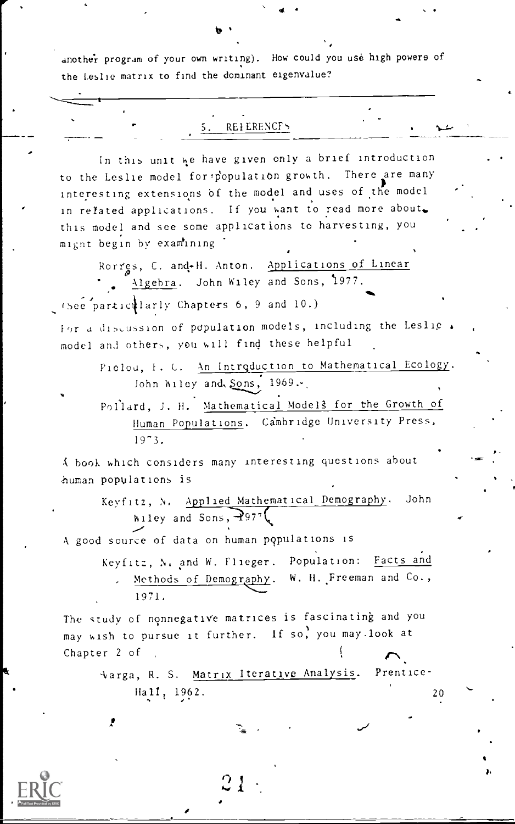another program of your own writing). How could you use high powers of the Leslie matrix to find the dominant eigenvalue?

and the control of the state of the state of the state of the state of the state of the state of the state of the state of the state of the state of the state of the state of the state of the state of the state of the stat

## REIERENCF5

In this unit we have given only a brief introduction to the Leslie model for population growth. There are many interesting extensions bf the model and uses of the model in related applications. If you want to read more about. this model and see some applications to harvesting, you mignt begin by examining

Rorres, C. and-H. Anton. Applications of Linear Algebra. John Wiley and Sons, 1977. +see particilarly Chapters 6, 9 and 10.) **\***owned

Ior a discussion of population models, including the Leslie. model and others, you will find these helpful

> Pielou, F. C. An Introduction to Mathematical Ecology. John Wiley and,  $\S$ ons,  $1969$ .

Pollard, J. H. Mathematical Models for the Growth of Human Populations. Cambridge University Press, 19-3.

A book which considers many interesting questions about human populations is

> Keyfitz, N. Applied Mathematical Demography. John Wiley and Sons,  $-297^{\circ}$

A good source of data on human populations is

Keyfitz, N. and W. Flieger. Population: Facts and Methods of Demography. W. H. Freeman and Co., 1971.

The study of nonnegative matrices is fascinating and you may wish to pursue it further. If so, you may.look at Chapter 2 of

 $21 \pm$ 

 $\sqrt{2}$ arga, R. S. Matrix Iterative Analysis. Prentice-Hall, 1962. 20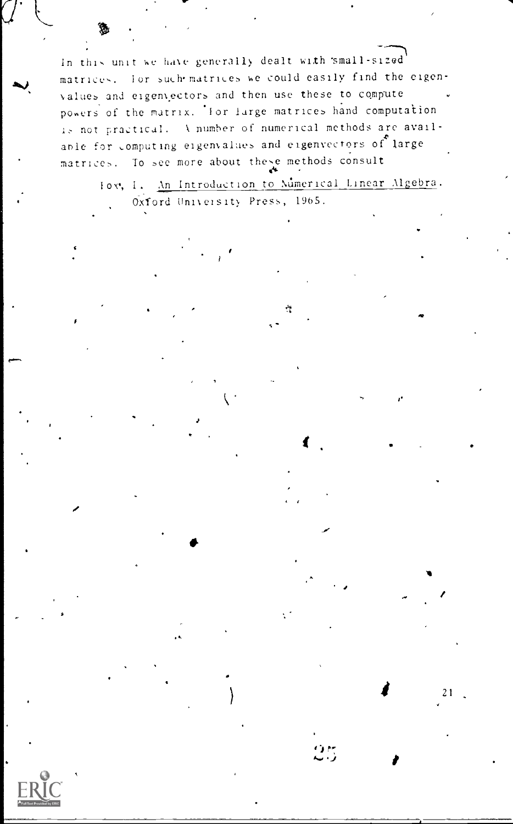In this unit we have generally dealt with 'small-sized matrices. For such matrices we could easily find the eigenvalues and eigenvectors and then use these to compute powers of the matrix. For large matrices hand computation is not practical. A number of numerical methods are available for computing eigenvalues and eigenvectors of large matrices. To see more about these methods consult

Fox, I. An Introduction to Mumerical Linear Algebra. Oxford University Press, 1965.

٣Î

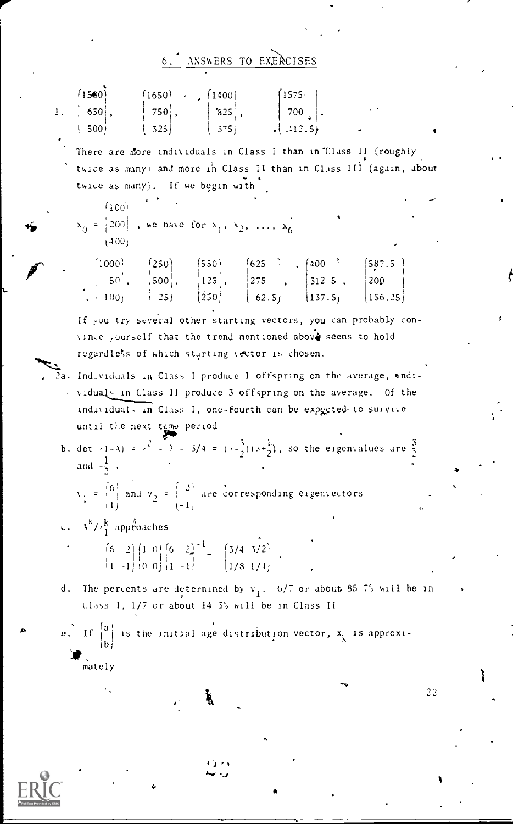# 6. ANSWERS TO EXERCISES

| 1. | (1500) $\begin{bmatrix} 1500 \\ 650 \\ 1500 \end{bmatrix}$ , $\begin{bmatrix} 1650 \\ 750 \\ 325 \end{bmatrix}$ , $\begin{bmatrix} 1400 \\ 825 \\ 575 \end{bmatrix}$ , $\begin{bmatrix} 1575 \\ 700 \\ 112.51 \end{bmatrix}$<br> 500                                                                  |
|----|-------------------------------------------------------------------------------------------------------------------------------------------------------------------------------------------------------------------------------------------------------------------------------------------------------|
|    | There are more individuals in Class I than in Class II (roughly<br>twice as many) and more in Class II than in Class III (again, about<br>twice as many). If we begin with                                                                                                                            |
|    | آنهن)<br>$x_0 = \begin{vmatrix} 200 \\ 100 \end{vmatrix}$ , we have for $x_1, x_2, \ldots, x_6$<br>1400 <sub>1</sub>                                                                                                                                                                                  |
|    | (1000)<br>000) $\begin{bmatrix} 250 \\ 50 \\ 1001 \end{bmatrix}$ , $\begin{bmatrix} 550 \\ 125 \\ 251 \end{bmatrix}$ , $\begin{bmatrix} 625 \\ 275 \\ 62.5 \end{bmatrix}$ , $\begin{bmatrix} 400 \\ 3125 \\ 137.5 \end{bmatrix}$ , $\begin{bmatrix} 587.5 \\ 200 \\ 166.25 \end{bmatrix}$<br>$+100$ f |
|    | If you try several other starting vectors, you can probably con-<br>vince yourself that the trend mentioned above seems to hold<br>regardless of which starting vector is chosen.                                                                                                                     |
|    | Individuals in Class I produce 1 offspring on the average, andi-<br>viduals in Class II produce 3 offspring on the average. Of the<br>individuals in Class I, one-fourth can be expected to survive<br>until the next tame period                                                                     |
|    | b. $det(71-A) = x^2 - 3 = 3/4 = (-\frac{3}{2})(x+\frac{1}{2})$ , so the eigenvalues are $\frac{3}{2}$<br>and $-\frac{1}{2}$ .<br>$v_1 = \begin{pmatrix} 6 \\ 1 \end{pmatrix}$ and $v_2 = \begin{pmatrix} 2 \\ -1 \end{pmatrix}$ are corresponding eigenvectors                                        |
|    |                                                                                                                                                                                                                                                                                                       |
|    | c. $\lambda^{k}/\lambda_{1}^{k}$ approaches<br>$\begin{pmatrix} 6 & 2 \\ 1 & -1 \end{pmatrix} \begin{pmatrix} 1 & 0 \\ 0 & 0 \end{pmatrix} \begin{pmatrix} 6 & 2 \\ 1 & -1 \end{pmatrix}^{-1} = \begin{pmatrix} 3/4 & 3/2 \\ 1/8 & 1/4 \end{pmatrix} .$                                               |
| d, | The percents are determined by $v_1$ . 6/7 or about 85.7% will be in<br>Class I, 1/7 or about 14 3% will be in Class II                                                                                                                                                                               |
|    | $e^{\int f(x)}$ If $\begin{bmatrix} a \\ b \end{bmatrix}$ is the initial age distribution vector, $x_k$ is approxi-<br>mately                                                                                                                                                                         |
|    | 22                                                                                                                                                                                                                                                                                                    |

ERIC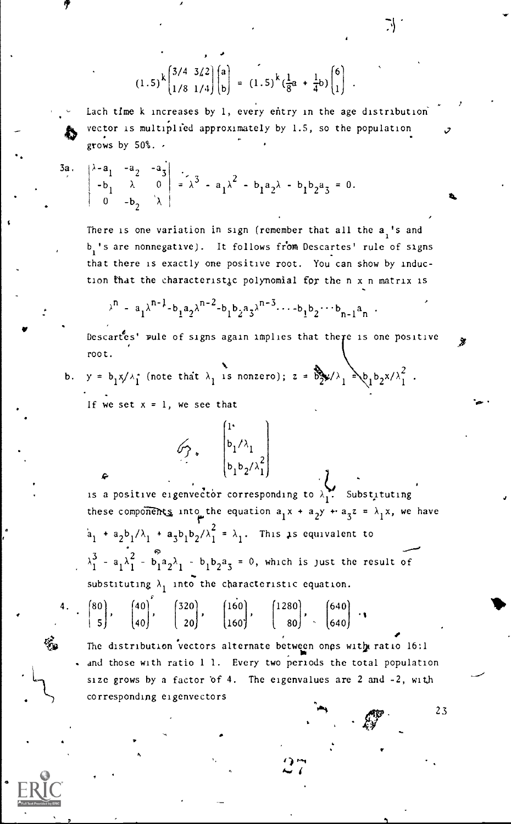$(1.5)^{k} \binom{3/4}{1/8} \frac{3/2}{1/4} \binom{a}{b} = (1.1)$  $= (1.5)^k \left(\frac{1}{2}a + \frac{1}{4}b\right) \begin{bmatrix} 0 \\ 1 \end{bmatrix}$ .

Each time k increases by 1, every entry in the age distribution vector is multiplied approximately by 1.5, so the population grows by 50%.

$$
\begin{vmatrix}\n\lambda - a_1 & -a_2 & -a_3 \\
-b_1 & \lambda & 0 \\
0 & -b_2 & \lambda\n\end{vmatrix} = \lambda^3 - a_1 \lambda^2 - b_1 a_2 \lambda - b_1 b_2 a_3 = 0.
$$

There is one variation in sign (remember that all the  $a_i$ 's and b<sub>i</sub>'s are nonnegative). It follows from Descartes' rule of signs that there is exactly one positive root. You can show by induction that the characteristic polynomial for the n x n matrix is

$$
\lambda^{n} = a_{1} \lambda^{n-1} - b_{1} a_{2} \lambda^{n-2} - b_{1} b_{2} a_{3} \lambda^{n-3} \cdots - b_{1} b_{2} \cdots b_{n-1} a_{n}.
$$

Descartes' rule of signs again implies that there is one positive  $\longrightarrow$ root.

b.  $y = b_1 x/\lambda_1$  (note that  $\lambda_1$  is nonzero);  $z = b_2^2 \lambda_1 \lambda_1^2$ ,  $b_1 b_2 x/\lambda_1^2$ . If we set  $x = 1$ , we see that

> 1.  $b_1/\lambda_1$

 $b_1 b_2 / \lambda_1$ is a positive eigenvector corresponding to  $\lambda_1^{\bullet\bullet}$ . Substituting these components into the equation  $a_1x + a_2y + a_3z = \lambda_1x$ , we have  $a_1$  +  $a_2b_1/\lambda_1$  +  $a_3b_1b_2/\lambda_1^2$  =  $\lambda_1$ . This is equivalent to  $\lambda_1^3$  - a<sub>1</sub> $\lambda_1^2$  - b<sub>1</sub>a<sub>2</sub> $\lambda_1$  - b<sub>1</sub>b<sub>2</sub>a<sub>3</sub> = 0, which is just the result of substituting  $\lambda_1$  into the characteristic equation.

4.  $\begin{bmatrix} 80 \\ 5 \end{bmatrix}$ ,  $\begin{bmatrix} 40 \\ 40 \end{bmatrix}$ ,  $\begin{bmatrix} 320 \\ 20 \end{bmatrix}$ ,  $\begin{bmatrix} 160 \\ 160 \end{bmatrix}$ ,  $\begin{bmatrix} 1280 \\ 80 \end{bmatrix}$ ,  $\begin{bmatrix} 640 \\ 640 \end{bmatrix}$ 

G.

 $\mathscr{G}$ ,  $\vert^{0}$ 

The distribution vectors alternate between ones with ratio 16:1 . and those with ratio 1 1. Every two periods the total population size grows by a factor of 4. The eigenvalues are 2 and -2, with corresponding eigenvectors

) and the state  $\mathcal{L}$ 

23

 $\sim$  .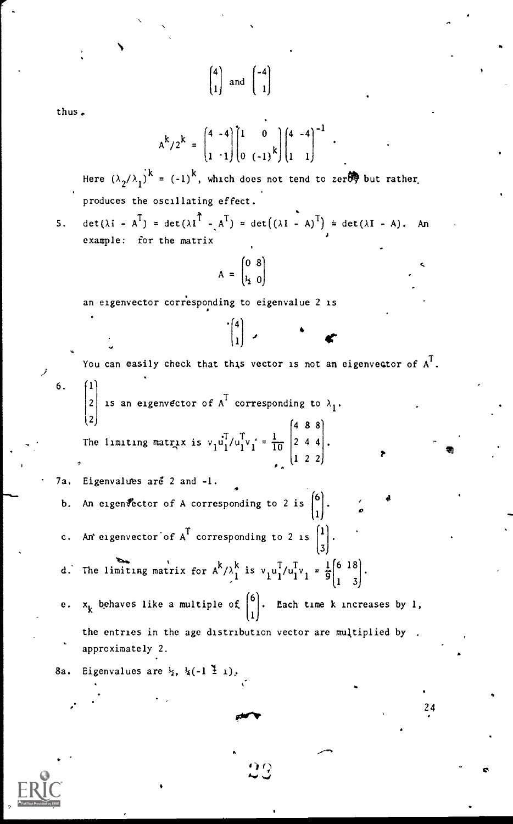[411 and 1 thus, -1 -4' '1 0 '4 -4 <sup>k</sup>/2 k A = k <sup>1</sup> '1, 0 (-1) ) 1 1, k Here (A <sup>2</sup> /A ) = (-1) , which does not tend to zerel but rather. 1 produces the oscillating effect. 5. det(XI - AT) = det(AIT -AT) .= det((AI - A)T) = det(AI - A). An example: for the matrix '0 8 A = 11 0 an eigenvector corresponding to eigenvalue 2 is <sup>4</sup> C .i41) You can easily check that thi,s vector is not an eigenvector of A<sup>T</sup> . 6. '1' <sup>T</sup> corresponding to AI. <sup>2</sup> is an eigenvector of A 2 The limiting matrix is vidI /ulvl <sup>10</sup> 4 8 8 2 4 4 <sup>1</sup> 2 2 7a. Eigenvalu es are 2 and -1. An eigenfector of A corresponding to 2 is (b.6 . ' <sup>1</sup> <sup>o</sup> c. An eigenvector of A<sup>T</sup> corresponding to 2 is [1 31. m. d. The limiting matrix for A<sup>k</sup> <sup>k</sup> <sup>T</sup> <sup>T</sup> /A, is vlui/uivi = g'11 <sup>k</sup> behaves like a multiple of f6 J. Each time k increases by 1, e. x 1 the entries in the age distribution vector are multiplied by , approximately 2. 8a. Eigenvalues are 1/2, 4(-1 1), 24

 $\overline{2}$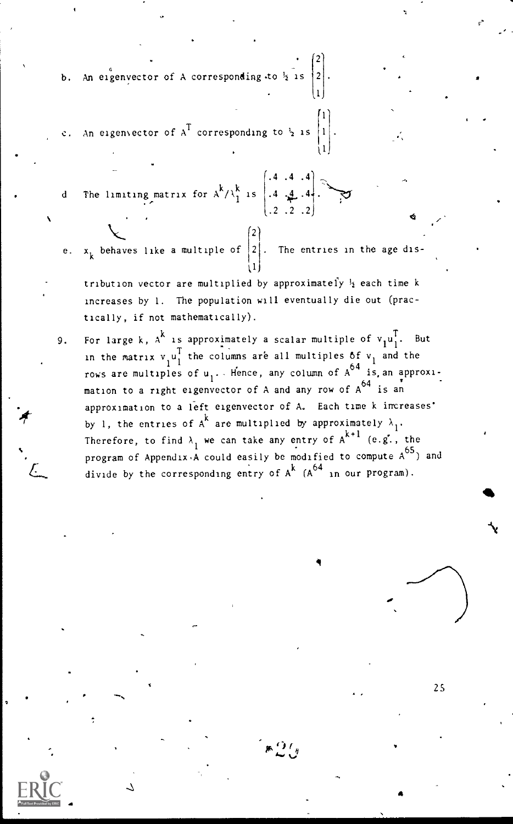b. An eigenvector of A corresponding to  $\frac{1}{2}$  is  $\left|2\right|$ .

- An eigenvector of  $A<sup>T</sup>$  corresponding to  $\frac{1}{2}$  is
- d The limiting matrix for  $A^2/\sqrt{1}$  is  $\begin{bmatrix} .4 & 4 & .4 \end{bmatrix}$ .
- e.  $x_k$  behaves like a multiple of  $\begin{bmatrix} 2 \end{bmatrix}$ . The entries in the age dis- $(1)$

 $\mathbf{y} = \begin{bmatrix} 1 & 1 & 1 \\ 1 & 1 & 1 \end{bmatrix}$ 21

,1

(.4 .4 .4'

 $(.2 \cdot .2 \cdot .2)$ 

 $\left(1\right)$ 

- tribution vector are multiplied by approximately  $\frac{1}{2}$  each time k increases by 1. The population will eventually die out (practically, if not mathematically).
- 9. For large k,  $A^K$  is approximately a scalar multiple of  $v_1u_1^L$ . But 1 in the matrix  $v_i u_1^T$  the columns are all multiples of  $v_1$  and the rows are multiples of  $u_1$ . Hence, any column of A<sup>6</sup> is an approximation to a right eigenvector of A and any row of A<sup>64</sup> is an approximation to a left eigenvector of A. Each time k increases' by 1, the entries of  $A^k$  are multiplied by approximately  $\lambda_1$ . Therefore, to find  $\lambda$ , we can take any entry of  $A^{k+1}$  (e.g., the program of Appendix A could easily be modified to compute  $A^{65}$ ) and divide by the corresponding entry of A^ (A^ in our program).

 $\ast 2$  ( )  $\rightarrow$ 

41

25

N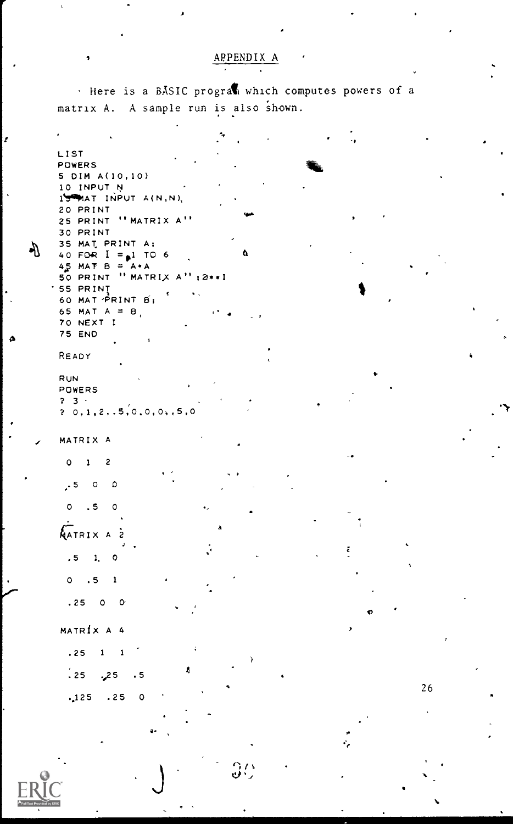#### APPENDIX A

. Here is a BASIC program which computes powers of a matrix A. A sample run is also shown.

LIST POWERS 5 DIM A(10,10) 10 INPUT N  $15$ MAT INPUT A(N,N), 20 PRINT 25 PRINT "MATRIX A" 30 PRINT 35 MAT PRINT A: 40 FOR  $I = 1$  TO 6 å  $45$  MAT B =  $A*A$ 50 PRINT " MATRIX A"; 2\*\*! '55 PRINȚ<br>60 MAT PRINT B1 ¢  $\sim 0.1$ 65 MAT  $A = B$ 70 NEXT I **75 END** READY **RUN** POWERS  $2 - 3$  $2, 0, 1, 2, .5, 0, 0, 0, 5, 0$ MATRIX A  $\circ$  $\mathbf{1}$  $\overline{c}$  $.5$  0 0  $\circ$  $\cdot$  5  $\Omega$ AATRIX A 2  $.5 \t1.$  $\circ$  $0.5$  $\pmb{1}$  $.2500$ MATRÍX A 4  $.25$  $\mathbf{1}$  $\mathbf{1}$ A  $\frac{1}{2}$  25 25, . 5  $.125-.25$  $\circ$ 

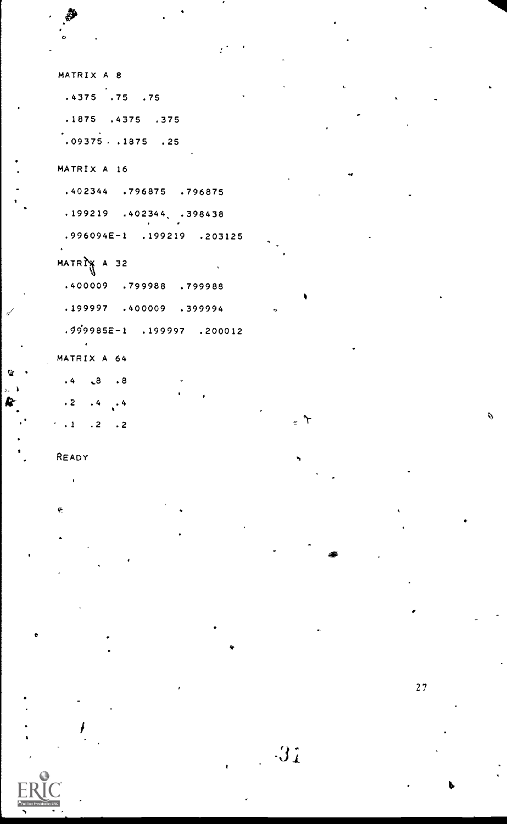```
MATRIX A 8
.4375 .75 .75.1875 .4375 .375
.09375-.1875.25MATRIX A 16
 .402344 .796875 .796875
.199219 .402344 .398438.996094E-1 .199219 .203125
MATRIX A 32
.400009 .799988 .799988
.199997 .400009 .399994
 .999985E-1 . 199997 . 200012
MATRIX A 64
.4 \t3 \t.8\cdot 2 \cdot 4 \cdot 4
\cdot .1 .2 .2
```
READY

ç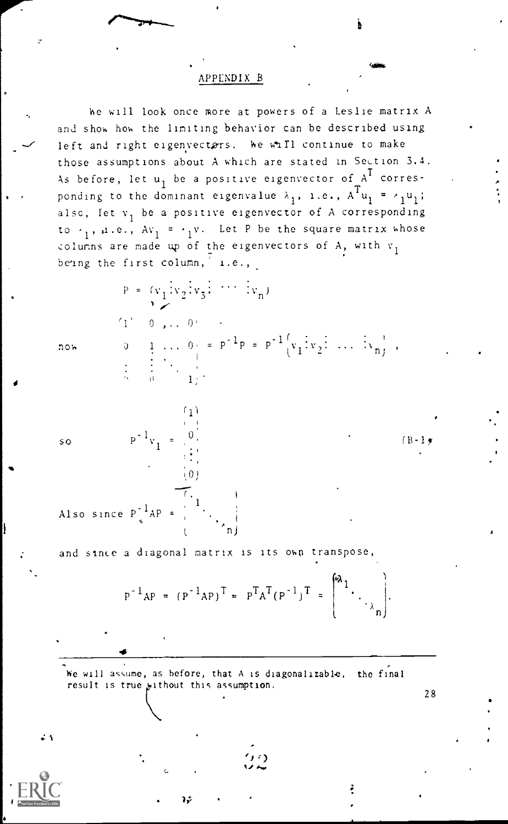#### APPENDIX B

he will look once more at powers of a Leslie matrix A and show how the limiting behavior can be described using left and right eigenvectors. We will continue to make those assumptions about A which are stated in Section 3.4. As before, let  $u_1$  be a positive eigenvector of  $A^I$  corresponding to the dominant eigenvalue  $\lambda_1$ , i.e.,  $A^T u_1 = \lambda_1 u_1$ ; alsc, let  $v_1$  be a positive eigenvector of A corresponding to  $\cdot_1$ , ...e.,  $Av_1 = \cdot_1 v$ . Let P be the square matrix whose columns are made up of the eigenvectors of A, with  $v_1$ being the first column,  $\frac{7}{1}$  i.e.,

 $P = (v_1 \cdot v_2 \cdot v_3 \cdot \cdots \cdot v_n)$ 

 $1.1$ 

iθ!

now  $0 \quad 1 \quad . . . \quad 0_{\frac{1}{2}} = P^{-1}P = P^{-1} \Big[ v_1 \Big[ v_2 \Big] \Big] \cdots \Big[ v_n \Big],$ 

so P'v<sub>i</sub> =

 $(B-1)$ 

28

Also since  $P^{-1}AP =$  $n$ j ka

 $\sim$ 

-1 v, m  $1 - \frac{1}{2}$ 

 $1$  0 ,..  $0$ ,  $\cdot$ 

and since a diagonal matrix is its own transpose,

$$
P^{-1}AP = (P^{-1}AP)^{T} = P^{T}A^{T}(P^{-1})^{T} = \begin{pmatrix} a_{1} & & \\ & \ddots & \\ & & a_{n} \end{pmatrix}.
$$

We will assume, as before, that A is diagonalizable, the final result is true without this assumption.

zt

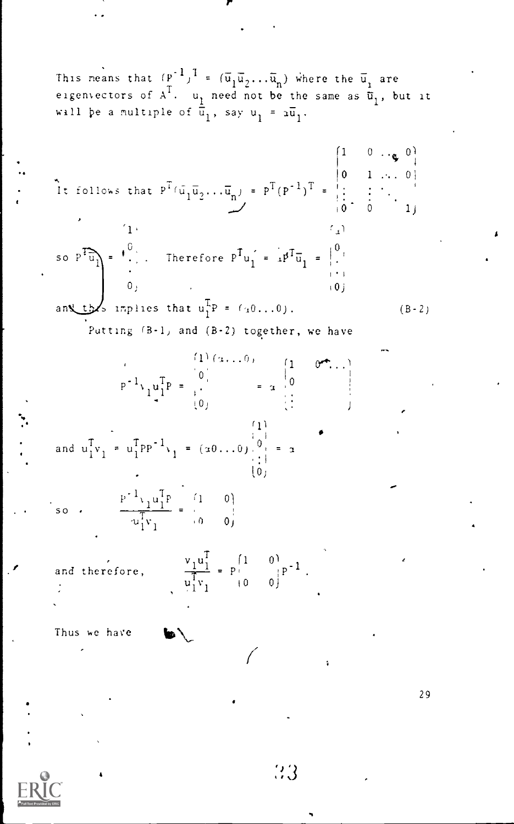\nThis means that 
$$
(P^{-1})^T = (\overline{u}_1 \overline{u}_2 \dots \overline{u}_n)
$$
 where the  $\overline{u}_1$  are eigenvectors of  $A^T$ ,  $u_1$  need not be the same as  $\overline{u}_1$ , but it will be a multiple of  $\overline{u}_1$ , say  $u_1 = a\overline{u}_1$ .\n

\n\nIt follows that  $P^T(\overline{u}_1 \overline{u}_2 \dots \overline{u}_n) = P^T(P^{-1})^T = \begin{bmatrix} 1 & 0 & \cdots & 0 \\ 0 & 1 & \cdots & 0 \\ \vdots & \vdots & \ddots & \vdots \\ 0 & 0 & \cdots & 0 \\ 0 & 0 & \cdots & 0 \end{bmatrix}$ .\n

\n\nTo solve that  $P^T(\overline{u}_1 \overline{u}_2 \dots \overline{u}_n) = P^T(P^{-1})^T = \begin{bmatrix} 1 & 0 & \cdots & 0 \\ 0 & 1 & \cdots & 0 \\ \vdots & \vdots & \ddots & \vdots \\ 0 & 0 & \cdots & 0 \end{bmatrix}$ .\n

\n\nAs  $P^T\overline{u}_1$  is the inverse of  $P^T u_1 = \begin{bmatrix} 0 & 0 & 0 \\ 0 & 0 & 0 \end{bmatrix}$ .\n

\n\nThus, the function  $P^T u_1 = \begin{bmatrix} 0 & 0 & 0 \\ 0 & 0 & 0 \end{bmatrix}$ .\n

\n\nand  $u_1^T v_1 = u_1^T P P^{-1} v_1 = (a0 \dots 0) \begin{bmatrix} 1 & 0 & 0 \\ 0 & 0 & 0 \end{bmatrix} = a$ .\n

\n\nSo  $\frac{P^{-1} v_1 u_1^T P}{u_1^T v_1} = \begin{bmatrix} 1 & 0$ 

 $\ddot{\cdot}$ 

 $RIC$ </u>